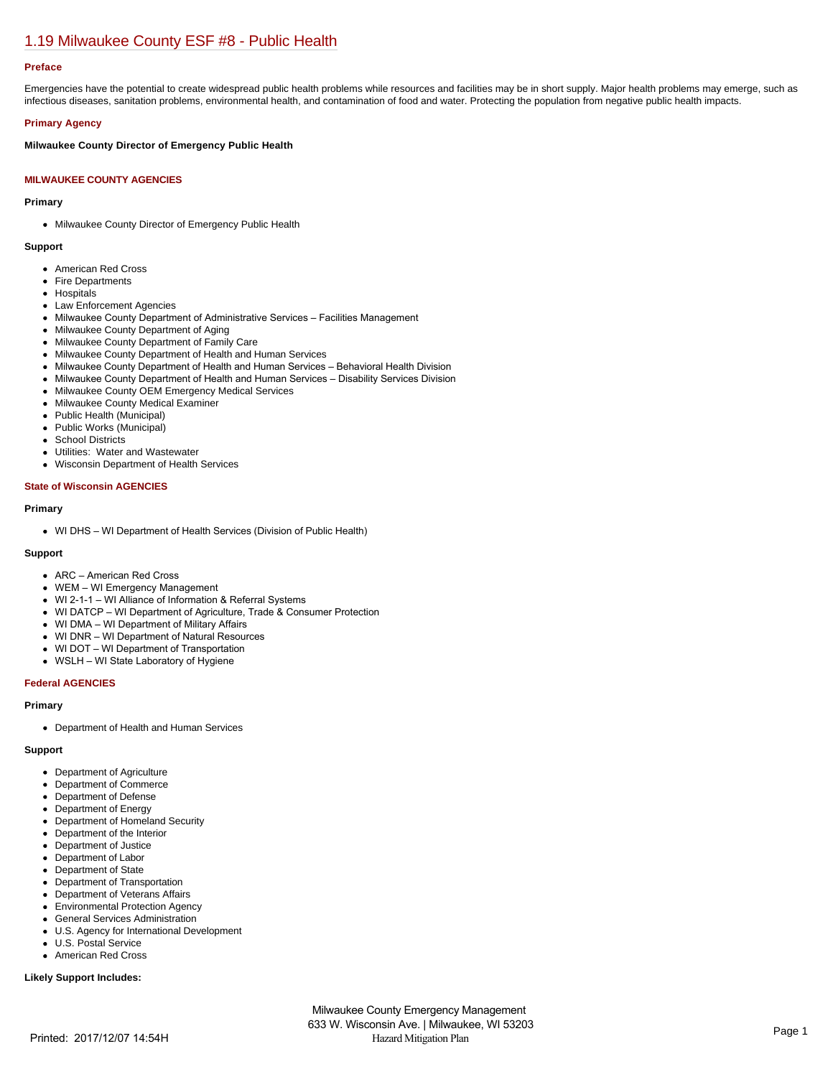# [1.19 Milwaukee County ESF #8 - Public Health](https://milwaukeecounty.isc-cemp.com/Cemp/Details?id=5805897)

## **Preface**

Emergencies have the potential to create widespread public health problems while resources and facilities may be in short supply. Major health problems may emerge, such as infectious diseases, sanitation problems, environmental health, and contamination of food and water. Protecting the population from negative public health impacts.

## **Primary Agency**

## **Milwaukee County Director of Emergency Public Health**

## **MILWAUKEE COUNTY AGENCIES**

#### **Primary**

• Milwaukee County Director of Emergency Public Health

#### **Support**

- American Red Cross
- Fire Departments
- Hospitals
- Law Enforcement Agencies
- Milwaukee County Department of Administrative Services Facilities Management
- Milwaukee County Department of Aging
- Milwaukee County Department of Family Care
- Milwaukee County Department of Health and Human Services
- Milwaukee County Department of Health and Human Services Behavioral Health Division
- Milwaukee County Department of Health and Human Services Disability Services Division
- Milwaukee County OEM Emergency Medical Services  $\bullet$
- Milwaukee County Medical Examiner  $\bullet$
- Public Health (Municipal)
- Public Works (Municipal)
- $\bullet$ School Districts
- Utilities: Water and Wastewater
- Wisconsin Department of Health Services  $\bullet$

#### **State of Wisconsin AGENCIES**

#### **Primary**

WI DHS – WI Department of Health Services (Division of Public Health)

#### **Support**

- ARC American Red Cross
- WEM WI Emergency Management
- WI 2-1-1 WI Alliance of Information & Referral Systems
- WI DATCP WI Department of Agriculture, Trade & Consumer Protection
- WI DMA WI Department of Military Affairs
- WI DNR WI Department of Natural Resources
- WI DOT WI Department of Transportation
- WSLH WI State Laboratory of Hygiene

#### **Federal AGENCIES**

#### **Primary**

Department of Health and Human Services

#### **Support**

- Department of Agriculture
- Department of Commerce
- Department of Defense
- Department of Energy
- Department of Homeland Security  $\bullet$
- Department of the Interior
- Department of Justice
- Department of Labor
- Department of State  $\bullet$
- Department of Transportation
- $\bullet$ Department of Veterans Affairs
- Environmental Protection Agency  $\bullet$
- General Services Administration
- $\bullet$ U.S. Agency for International Development
- U.S. Postal Service American Red Cross
- 

## **Likely Support Includes:**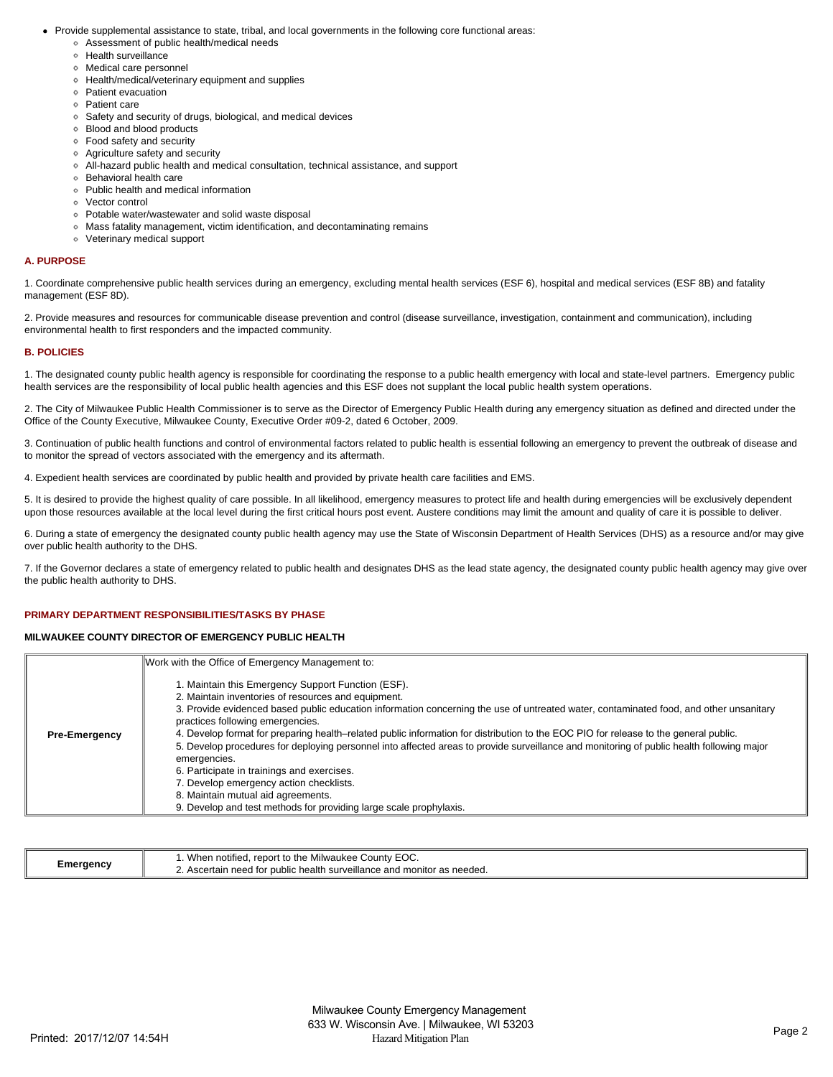- Provide supplemental assistance to state, tribal, and local governments in the following core functional areas:
	- Assessment of public health/medical needs
	- Health surveillance
	- Medical care personnel
	- Health/medical/veterinary equipment and supplies
	- Patient evacuation
	- Patient care
	- Safety and security of drugs, biological, and medical devices
	- Blood and blood products
	- Food safety and security
	- Agriculture safety and security
	- All-hazard public health and medical consultation, technical assistance, and support
	- Behavioral health care
	- Public health and medical information
	- Vector control
	- Potable water/wastewater and solid waste disposal
	- Mass fatality management, victim identification, and decontaminating remains
	- Veterinary medical support

#### **A. PURPOSE**

1. Coordinate comprehensive public health services during an emergency, excluding mental health services (ESF 6), hospital and medical services (ESF 8B) and fatality management (ESF 8D).

2. Provide measures and resources for communicable disease prevention and control (disease surveillance, investigation, containment and communication), including environmental health to first responders and the impacted community.

## **B. POLICIES**

1. The designated county public health agency is responsible for coordinating the response to a public health emergency with local and state-level partners. Emergency public health services are the responsibility of local public health agencies and this ESF does not supplant the local public health system operations.

2. The City of Milwaukee Public Health Commissioner is to serve as the Director of Emergency Public Health during any emergency situation as defined and directed under the Office of the County Executive, Milwaukee County, Executive Order #09-2, dated 6 October, 2009.

3. Continuation of public health functions and control of environmental factors related to public health is essential following an emergency to prevent the outbreak of disease and to monitor the spread of vectors associated with the emergency and its aftermath.

4. Expedient health services are coordinated by public health and provided by private health care facilities and EMS.

5. It is desired to provide the highest quality of care possible. In all likelihood, emergency measures to protect life and health during emergencies will be exclusively dependent upon those resources available at the local level during the first critical hours post event. Austere conditions may limit the amount and quality of care it is possible to deliver.

6. During a state of emergency the designated county public health agency may use the State of Wisconsin Department of Health Services (DHS) as a resource and/or may give over public health authority to the DHS.

7. If the Governor declares a state of emergency related to public health and designates DHS as the lead state agency, the designated county public health agency may give over the public health authority to DHS.

## **PRIMARY DEPARTMENT RESPONSIBILITIES/TASKS BY PHASE**

#### **MILWAUKEE COUNTY DIRECTOR OF EMERGENCY PUBLIC HEALTH**

|                      | Work with the Office of Emergency Management to:                                                                                                                                                                                                                                                                                                                                                                                                                                                                                                                                                                                                                                                                                                                                                  |
|----------------------|---------------------------------------------------------------------------------------------------------------------------------------------------------------------------------------------------------------------------------------------------------------------------------------------------------------------------------------------------------------------------------------------------------------------------------------------------------------------------------------------------------------------------------------------------------------------------------------------------------------------------------------------------------------------------------------------------------------------------------------------------------------------------------------------------|
| <b>Pre-Emergency</b> | 1. Maintain this Emergency Support Function (ESF).<br>2. Maintain inventories of resources and equipment.<br>3. Provide evidenced based public education information concerning the use of untreated water, contaminated food, and other unsanitary<br>practices following emergencies.<br>4. Develop format for preparing health–related public information for distribution to the EOC PIO for release to the general public.<br>5. Develop procedures for deploying personnel into affected areas to provide surveillance and monitoring of public health following major<br>emergencies.<br>6. Participate in trainings and exercises.<br>7. Develop emergency action checklists.<br>8. Maintain mutual aid agreements.<br>9. Develop and test methods for providing large scale prophylaxis. |

| <i>e</i> meraency | EOC<br>.<br>$\sim$ $\sim$<br>. report to the Milwaukee.<br>County E<br>When notified. |
|-------------------|---------------------------------------------------------------------------------------|
|                   | c health surveillance and monitor as needed.<br>Ascertai<br>I for public<br>າ need    |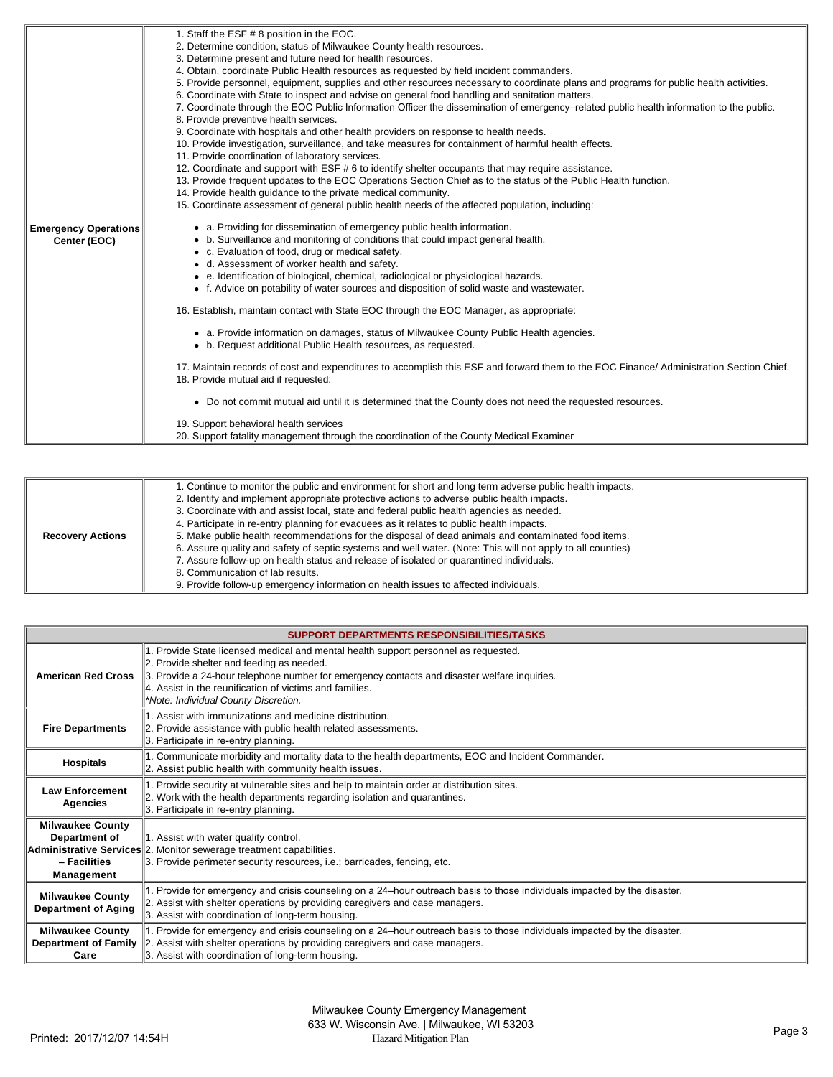|                         | 1. Continue to monitor the public and environment for short and long term adverse public health impacts.<br>2. Identify and implement appropriate protective actions to adverse public health impacts.<br>3. Coordinate with and assist local, state and federal public health agencies as needed. |
|-------------------------|----------------------------------------------------------------------------------------------------------------------------------------------------------------------------------------------------------------------------------------------------------------------------------------------------|
|                         | 4. Participate in re-entry planning for evacuees as it relates to public health impacts.                                                                                                                                                                                                           |
| <b>Recovery Actions</b> | 5. Make public health recommendations for the disposal of dead animals and contaminated food items.                                                                                                                                                                                                |
|                         | 6. Assure quality and safety of septic systems and well water. (Note: This will not apply to all counties)                                                                                                                                                                                         |
|                         | 7. Assure follow-up on health status and release of isolated or quarantined individuals.                                                                                                                                                                                                           |
|                         | 8. Communication of lab results.                                                                                                                                                                                                                                                                   |
|                         | 9. Provide follow-up emergency information on health issues to affected individuals.                                                                                                                                                                                                               |

| <b>SUPPORT DEPARTMENTS RESPONSIBILITIES/TASKS</b>                      |                                                                                                                                                                                                                                                                                                                                     |  |
|------------------------------------------------------------------------|-------------------------------------------------------------------------------------------------------------------------------------------------------------------------------------------------------------------------------------------------------------------------------------------------------------------------------------|--|
| <b>American Red Cross</b>                                              | 1. Provide State licensed medical and mental health support personnel as requested.<br>2. Provide shelter and feeding as needed.<br>3. Provide a 24-hour telephone number for emergency contacts and disaster welfare inquiries.<br>4. Assist in the reunification of victims and families.<br>*Note: Individual County Discretion. |  |
| <b>Fire Departments</b>                                                | . Assist with immunizations and medicine distribution.<br>2. Provide assistance with public health related assessments.<br>3. Participate in re-entry planning.                                                                                                                                                                     |  |
| <b>Hospitals</b>                                                       | 1. Communicate morbidity and mortality data to the health departments, EOC and Incident Commander.<br>2. Assist public health with community health issues.                                                                                                                                                                         |  |
| <b>Law Enforcement</b><br>Agencies                                     | Provide security at vulnerable sites and help to maintain order at distribution sites.<br>2. Work with the health departments regarding isolation and quarantines.<br>3. Participate in re-entry planning.                                                                                                                          |  |
| <b>Milwaukee County</b><br>Department of<br>- Facilities<br>Management | 1. Assist with water quality control.<br>Administrative Services 2. Monitor sewerage treatment capabilities.<br>3. Provide perimeter security resources, i.e.; barricades, fencing, etc.                                                                                                                                            |  |
| <b>Milwaukee County</b><br><b>Department of Aging</b>                  | Provide for emergency and crisis counseling on a 24-hour outreach basis to those individuals impacted by the disaster.<br>2. Assist with shelter operations by providing caregivers and case managers.<br>3. Assist with coordination of long-term housing.                                                                         |  |
| <b>Milwaukee County</b><br>Care                                        | Provide for emergency and crisis counseling on a 24-hour outreach basis to those individuals impacted by the disaster.<br><b>Department of Family</b> 2. Assist with shelter operations by providing caregivers and case managers.<br>3. Assist with coordination of long-term housing.                                             |  |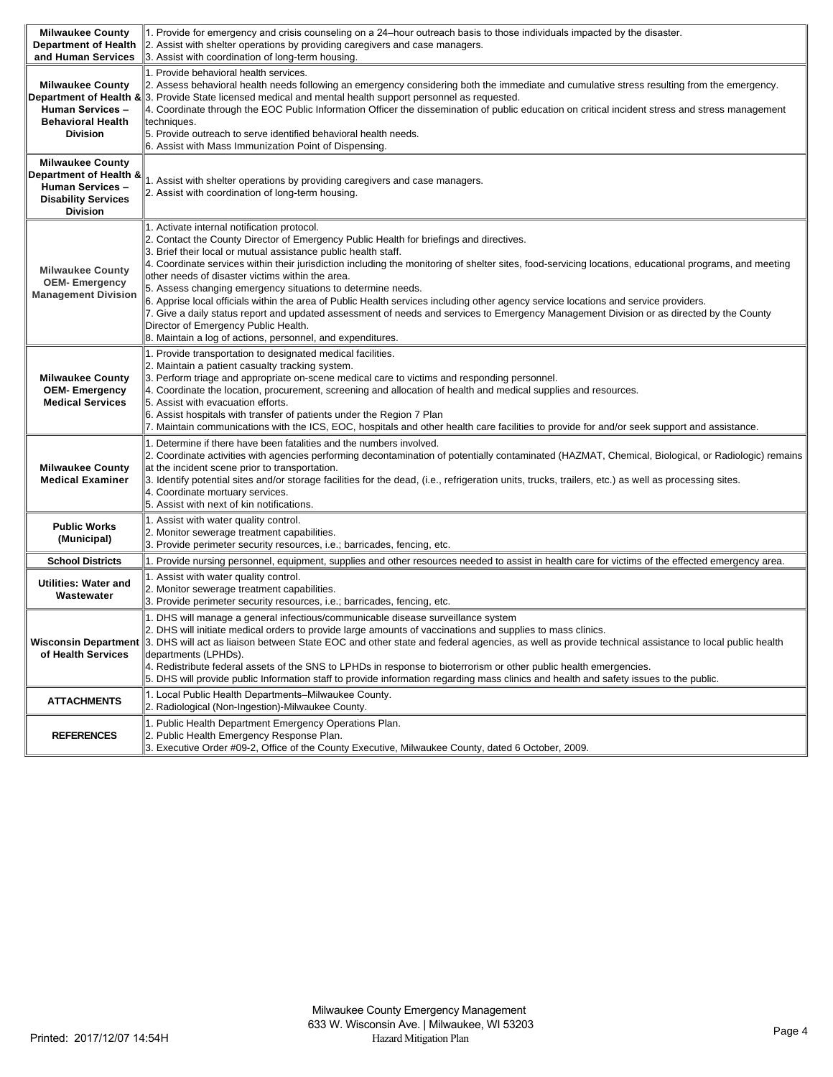| <b>Milwaukee County</b><br><b>Department of Health</b>                                                                        | 1. Provide for emergency and crisis counseling on a 24-hour outreach basis to those individuals impacted by the disaster.<br>2. Assist with shelter operations by providing caregivers and case managers.                                                                                                                                                                                                                                                                                                                                                                                                                                                                                                                                                                                                                                                                        |
|-------------------------------------------------------------------------------------------------------------------------------|----------------------------------------------------------------------------------------------------------------------------------------------------------------------------------------------------------------------------------------------------------------------------------------------------------------------------------------------------------------------------------------------------------------------------------------------------------------------------------------------------------------------------------------------------------------------------------------------------------------------------------------------------------------------------------------------------------------------------------------------------------------------------------------------------------------------------------------------------------------------------------|
| and Human Services                                                                                                            | 3. Assist with coordination of long-term housing.                                                                                                                                                                                                                                                                                                                                                                                                                                                                                                                                                                                                                                                                                                                                                                                                                                |
| <b>Milwaukee County</b><br><b>Human Services -</b><br><b>Behavioral Health</b><br><b>Division</b>                             | 1. Provide behavioral health services.<br>2. Assess behavioral health needs following an emergency considering both the immediate and cumulative stress resulting from the emergency.<br><b>Department of Health &amp; 3.</b> Provide State licensed medical and mental health support personnel as requested.<br>4. Coordinate through the EOC Public Information Officer the dissemination of public education on critical incident stress and stress management<br>techniques.<br>5. Provide outreach to serve identified behavioral health needs.<br>6. Assist with Mass Immunization Point of Dispensing.                                                                                                                                                                                                                                                                   |
| <b>Milwaukee County</b><br>Department of Health &<br><b>Human Services -</b><br><b>Disability Services</b><br><b>Division</b> | 1. Assist with shelter operations by providing caregivers and case managers.<br>2. Assist with coordination of long-term housing.                                                                                                                                                                                                                                                                                                                                                                                                                                                                                                                                                                                                                                                                                                                                                |
| <b>Milwaukee County</b><br><b>OEM-Emergency</b><br><b>Management Division</b>                                                 | 1. Activate internal notification protocol.<br>2. Contact the County Director of Emergency Public Health for briefings and directives.<br>3. Brief their local or mutual assistance public health staff.<br>4. Coordinate services within their jurisdiction including the monitoring of shelter sites, food-servicing locations, educational programs, and meeting<br>other needs of disaster victims within the area.<br>5. Assess changing emergency situations to determine needs.<br>6. Apprise local officials within the area of Public Health services including other agency service locations and service providers.<br>7. Give a daily status report and updated assessment of needs and services to Emergency Management Division or as directed by the County<br>Director of Emergency Public Health.<br>8. Maintain a log of actions, personnel, and expenditures. |
| <b>Milwaukee County</b><br><b>OEM-Emergency</b><br><b>Medical Services</b>                                                    | 1. Provide transportation to designated medical facilities.<br>2. Maintain a patient casualty tracking system.<br>3. Perform triage and appropriate on-scene medical care to victims and responding personnel.<br>4. Coordinate the location, procurement, screening and allocation of health and medical supplies and resources.<br>5. Assist with evacuation efforts.<br>6. Assist hospitals with transfer of patients under the Region 7 Plan<br>7. Maintain communications with the ICS, EOC, hospitals and other health care facilities to provide for and/or seek support and assistance.                                                                                                                                                                                                                                                                                  |
| <b>Milwaukee County</b><br><b>Medical Examiner</b>                                                                            | 1. Determine if there have been fatalities and the numbers involved.<br>2. Coordinate activities with agencies performing decontamination of potentially contaminated (HAZMAT, Chemical, Biological, or Radiologic) remains<br>at the incident scene prior to transportation.<br>3. Identify potential sites and/or storage facilities for the dead, (i.e., refrigeration units, trucks, trailers, etc.) as well as processing sites.<br>4. Coordinate mortuary services.<br>5. Assist with next of kin notifications.                                                                                                                                                                                                                                                                                                                                                           |
| <b>Public Works</b><br>(Municipal)                                                                                            | 1. Assist with water quality control.<br>2. Monitor sewerage treatment capabilities.<br>3. Provide perimeter security resources, i.e.; barricades, fencing, etc.                                                                                                                                                                                                                                                                                                                                                                                                                                                                                                                                                                                                                                                                                                                 |
| <b>School Districts</b>                                                                                                       | 1. Provide nursing personnel, equipment, supplies and other resources needed to assist in health care for victims of the effected emergency area.                                                                                                                                                                                                                                                                                                                                                                                                                                                                                                                                                                                                                                                                                                                                |
| Utilities: Water and<br>Wastewater                                                                                            | 1. Assist with water quality control.<br>2. Monitor sewerage treatment capabilities.<br>3. Provide perimeter security resources, i.e.; barricades, fencing, etc.                                                                                                                                                                                                                                                                                                                                                                                                                                                                                                                                                                                                                                                                                                                 |
| of Health Services                                                                                                            | 1. DHS will manage a general infectious/communicable disease surveillance system<br>2. DHS will initiate medical orders to provide large amounts of vaccinations and supplies to mass clinics.<br>Wisconsin Department 3. DHS will act as liaison between State EOC and other state and federal agencies, as well as provide technical assistance to local public health<br>departments (LPHDs).<br>4. Redistribute federal assets of the SNS to LPHDs in response to bioterrorism or other public health emergencies.<br>5. DHS will provide public Information staff to provide information regarding mass clinics and health and safety issues to the public.                                                                                                                                                                                                                 |
| <b>ATTACHMENTS</b>                                                                                                            | 1. Local Public Health Departments–Milwaukee County.<br>2. Radiological (Non-Ingestion)-Milwaukee County.                                                                                                                                                                                                                                                                                                                                                                                                                                                                                                                                                                                                                                                                                                                                                                        |
| <b>REFERENCES</b>                                                                                                             | 1. Public Health Department Emergency Operations Plan.<br>2. Public Health Emergency Response Plan.<br>3. Executive Order #09-2, Office of the County Executive, Milwaukee County, dated 6 October, 2009.                                                                                                                                                                                                                                                                                                                                                                                                                                                                                                                                                                                                                                                                        |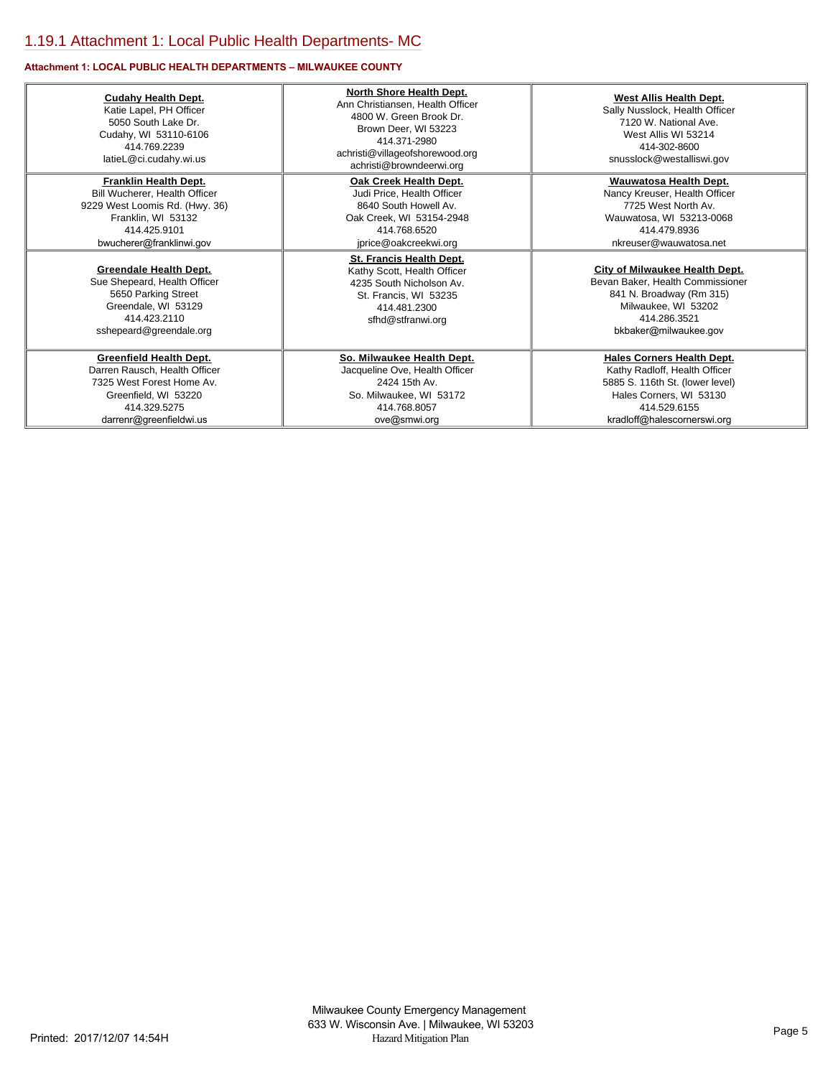## **Attachment 1: LOCAL PUBLIC HEALTH DEPARTMENTS – MILWAUKEE COUNTY**

| <b>Cudahy Health Dept.</b><br>Katie Lapel, PH Officer<br>5050 South Lake Dr.<br>Cudahy, WI 53110-6106<br>414.769.2239<br>latieL@ci.cudahy.wi.us | North Shore Health Dept.<br>Ann Christiansen, Health Officer<br>4800 W. Green Brook Dr.<br>Brown Deer, WI 53223<br>414.371-2980<br>achristi@villageofshorewood.org<br>achristi@browndeerwi.org | <b>West Allis Health Dept.</b><br>Sally Nusslock, Health Officer<br>7120 W. National Ave.<br>West Allis WI 53214<br>414-302-8600<br>snusslock@westalliswi.gov |
|-------------------------------------------------------------------------------------------------------------------------------------------------|------------------------------------------------------------------------------------------------------------------------------------------------------------------------------------------------|---------------------------------------------------------------------------------------------------------------------------------------------------------------|
| <b>Franklin Health Dept.</b>                                                                                                                    | Oak Creek Health Dept.                                                                                                                                                                         | Wauwatosa Health Dept.                                                                                                                                        |
| Bill Wucherer, Health Officer                                                                                                                   | Judi Price, Health Officer                                                                                                                                                                     | Nancy Kreuser, Health Officer                                                                                                                                 |
| 9229 West Loomis Rd. (Hwy. 36)                                                                                                                  | 8640 South Howell Av.                                                                                                                                                                          | 7725 West North Av.                                                                                                                                           |
| Franklin, WI 53132                                                                                                                              | Oak Creek, WI 53154-2948                                                                                                                                                                       | Wauwatosa, WI 53213-0068                                                                                                                                      |
| 414.425.9101                                                                                                                                    | 414.768.6520                                                                                                                                                                                   | 414.479.8936                                                                                                                                                  |
| bwucherer@franklinwi.gov                                                                                                                        | jprice@oakcreekwi.org                                                                                                                                                                          | nkreuser@wauwatosa.net                                                                                                                                        |
| <b>Greendale Health Dept.</b>                                                                                                                   | <b>St. Francis Health Dept.</b>                                                                                                                                                                | <b>City of Milwaukee Health Dept.</b>                                                                                                                         |
| Sue Shepeard, Health Officer                                                                                                                    | Kathy Scott, Health Officer                                                                                                                                                                    | Bevan Baker, Health Commissioner                                                                                                                              |
| 5650 Parking Street                                                                                                                             | 4235 South Nicholson Av.                                                                                                                                                                       | 841 N. Broadway (Rm 315)                                                                                                                                      |
| Greendale, WI 53129                                                                                                                             | St. Francis, WI 53235                                                                                                                                                                          | Milwaukee, WI 53202                                                                                                                                           |
| 414.423.2110                                                                                                                                    | 414.481.2300                                                                                                                                                                                   | 414.286.3521                                                                                                                                                  |
| sshepeard@greendale.org                                                                                                                         | sfhd@stfranwi.org                                                                                                                                                                              | bkbaker@milwaukee.gov                                                                                                                                         |
| <b>Greenfield Health Dept.</b>                                                                                                                  | So. Milwaukee Health Dept.                                                                                                                                                                     | <b>Hales Corners Health Dept.</b>                                                                                                                             |
| Darren Rausch, Health Officer                                                                                                                   | Jacqueline Ove, Health Officer                                                                                                                                                                 | Kathy Radloff, Health Officer                                                                                                                                 |
| 7325 West Forest Home Av.                                                                                                                       | 2424 15th Av                                                                                                                                                                                   | 5885 S. 116th St. (lower level)                                                                                                                               |
| Greenfield, WI 53220                                                                                                                            | So. Milwaukee, WI 53172                                                                                                                                                                        | Hales Corners, WI 53130                                                                                                                                       |
| 414.329.5275                                                                                                                                    | 414.768.8057                                                                                                                                                                                   | 414.529.6155                                                                                                                                                  |
| darrenr@greenfieldwi.us                                                                                                                         | ove@smwi.org                                                                                                                                                                                   | kradloff@halescornerswi.org                                                                                                                                   |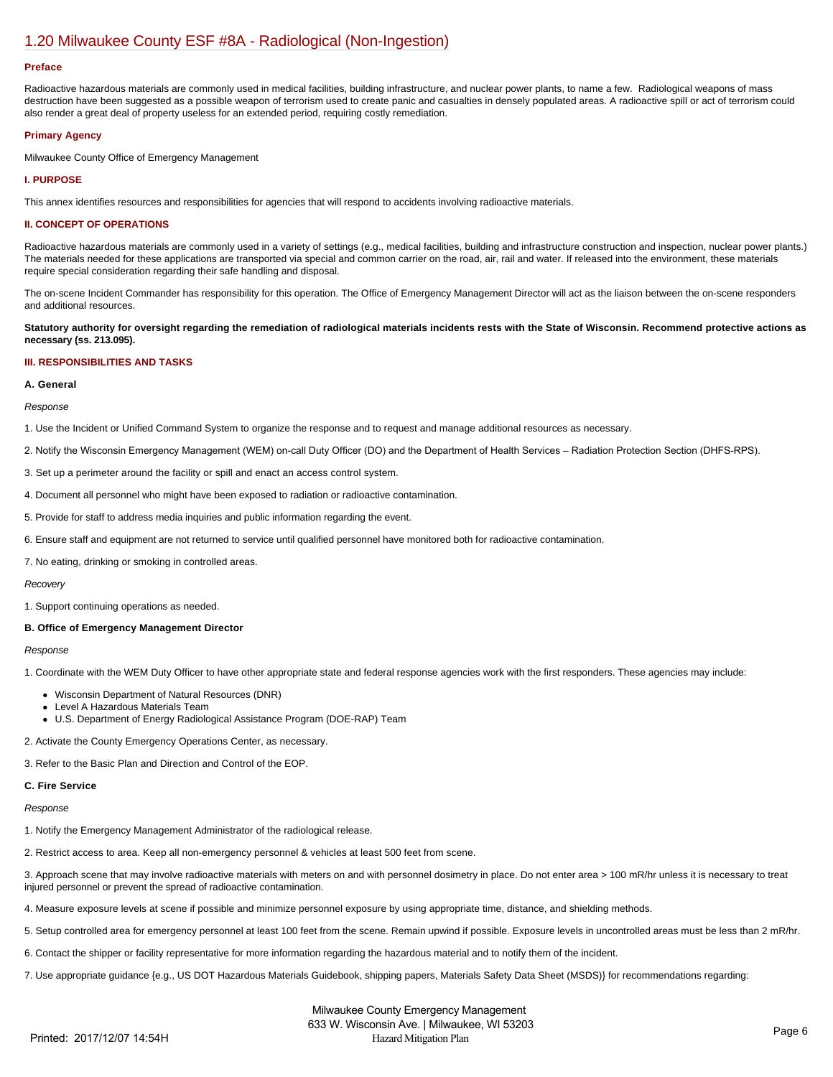## [1.20 Milwaukee County ESF #8A - Radiological \(Non-Ingestion\)](https://milwaukeecounty.isc-cemp.com/Cemp/Details?id=5805898)

#### **Preface**

Radioactive hazardous materials are commonly used in medical facilities, building infrastructure, and nuclear power plants, to name a few. Radiological weapons of mass destruction have been suggested as a possible weapon of terrorism used to create panic and casualties in densely populated areas. A radioactive spill or act of terrorism could also render a great deal of property useless for an extended period, requiring costly remediation.

## **Primary Agency**

Milwaukee County Office of Emergency Management

## **I. PURPOSE**

This annex identifies resources and responsibilities for agencies that will respond to accidents involving radioactive materials.

## **II. CONCEPT OF OPERATIONS**

Radioactive hazardous materials are commonly used in a variety of settings (e.g., medical facilities, building and infrastructure construction and inspection, nuclear power plants.) The materials needed for these applications are transported via special and common carrier on the road, air, rail and water. If released into the environment, these materials require special consideration regarding their safe handling and disposal.

The on-scene Incident Commander has responsibility for this operation. The Office of Emergency Management Director will act as the liaison between the on-scene responders and additional resources.

**Statutory authority for oversight regarding the remediation of radiological materials incidents rests with the State of Wisconsin. Recommend protective actions as necessary (ss. 213.095).**

## **III. RESPONSIBILITIES AND TASKS**

## **A. General**

*Response*

1. Use the Incident or Unified Command System to organize the response and to request and manage additional resources as necessary.

2. Notify the Wisconsin Emergency Management (WEM) on-call Duty Officer (DO) and the Department of Health Services - Radiation Protection Section (DHFS-RPS).

- 3. Set up a perimeter around the facility or spill and enact an access control system.
- 4. Document all personnel who might have been exposed to radiation or radioactive contamination.
- 5. Provide for staff to address media inquiries and public information regarding the event.
- 6. Ensure staff and equipment are not returned to service until qualified personnel have monitored both for radioactive contamination.

7. No eating, drinking or smoking in controlled areas.

#### *Recovery*

1. Support continuing operations as needed.

## **B. Office of Emergency Management Director**

#### *Response*

1. Coordinate with the WEM Duty Officer to have other appropriate state and federal response agencies work with the first responders. These agencies may include:

- Wisconsin Department of Natural Resources (DNR)
- Level A Hazardous Materials Team
- U.S. Department of Energy Radiological Assistance Program (DOE-RAP) Team
- 2. Activate the County Emergency Operations Center, as necessary.

3. Refer to the Basic Plan and Direction and Control of the EOP.

## **C. Fire Service**

## *Response*

- 1. Notify the Emergency Management Administrator of the radiological release.
- 2. Restrict access to area. Keep all non-emergency personnel & vehicles at least 500 feet from scene.

3. Approach scene that may involve radioactive materials with meters on and with personnel dosimetry in place. Do not enter area > 100 mR/hr unless it is necessary to treat injured personnel or prevent the spread of radioactive contamination.

4. Measure exposure levels at scene if possible and minimize personnel exposure by using appropriate time, distance, and shielding methods.

5. Setup controlled area for emergency personnel at least 100 feet from the scene. Remain upwind if possible. Exposure levels in uncontrolled areas must be less than 2 mR/hr.

- 6. Contact the shipper or facility representative for more information regarding the hazardous material and to notify them of the incident.
- 7. Use appropriate guidance {e.g., US DOT Hazardous Materials Guidebook, shipping papers, Materials Safety Data Sheet (MSDS)} for recommendations regarding: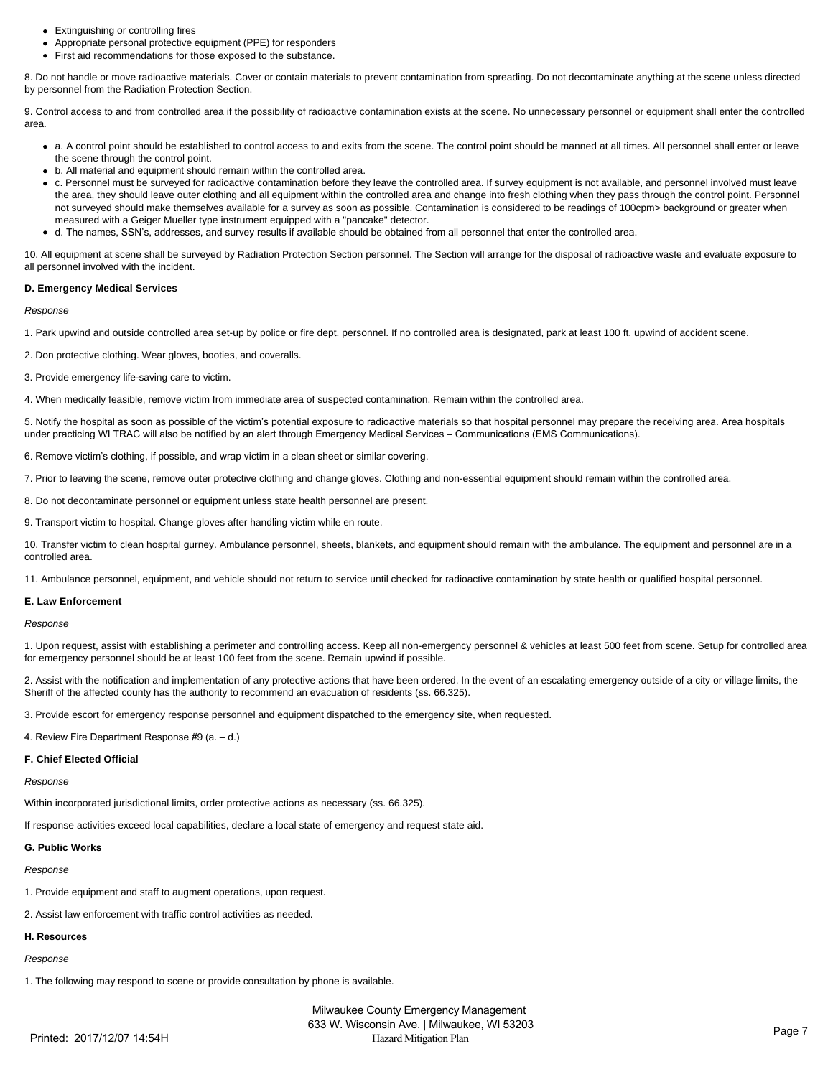- Extinguishing or controlling fires
- Appropriate personal protective equipment (PPE) for responders
- First aid recommendations for those exposed to the substance.

8. Do not handle or move radioactive materials. Cover or contain materials to prevent contamination from spreading. Do not decontaminate anything at the scene unless directed by personnel from the Radiation Protection Section.

9. Control access to and from controlled area if the possibility of radioactive contamination exists at the scene. No unnecessary personnel or equipment shall enter the controlled area.

- a. A control point should be established to control access to and exits from the scene. The control point should be manned at all times. All personnel shall enter or leave the scene through the control point.
- b. All material and equipment should remain within the controlled area.
- c. Personnel must be surveyed for radioactive contamination before they leave the controlled area. If survey equipment is not available, and personnel involved must leave the area, they should leave outer clothing and all equipment within the controlled area and change into fresh clothing when they pass through the control point. Personnel not surveyed should make themselves available for a survey as soon as possible. Contamination is considered to be readings of 100cpm> background or greater when measured with a Geiger Mueller type instrument equipped with a "pancake" detector.
- d. The names, SSN's, addresses, and survey results if available should be obtained from all personnel that enter the controlled area.

10. All equipment at scene shall be surveyed by Radiation Protection Section personnel. The Section will arrange for the disposal of radioactive waste and evaluate exposure to all personnel involved with the incident.

#### **D. Emergency Medical Services**

*Response*

- 1. Park upwind and outside controlled area set-up by police or fire dept. personnel. If no controlled area is designated, park at least 100 ft. upwind of accident scene.
- 2. Don protective clothing. Wear gloves, booties, and coveralls.
- 3. Provide emergency life-saving care to victim.
- 4. When medically feasible, remove victim from immediate area of suspected contamination. Remain within the controlled area.

5. Notify the hospital as soon as possible of the victim's potential exposure to radioactive materials so that hospital personnel may prepare the receiving area. Area hospitals under practicing WI TRAC will also be notified by an alert through Emergency Medical Services – Communications (EMS Communications).

6. Remove victim's clothing, if possible, and wrap victim in a clean sheet or similar covering.

- 7. Prior to leaving the scene, remove outer protective clothing and change gloves. Clothing and non-essential equipment should remain within the controlled area.
- 8. Do not decontaminate personnel or equipment unless state health personnel are present.
- 9. Transport victim to hospital. Change gloves after handling victim while en route.

10. Transfer victim to clean hospital gurney. Ambulance personnel, sheets, blankets, and equipment should remain with the ambulance. The equipment and personnel are in a controlled area.

11. Ambulance personnel, equipment, and vehicle should not return to service until checked for radioactive contamination by state health or qualified hospital personnel.

#### **E. Law Enforcement**

*Response*

1. Upon request, assist with establishing a perimeter and controlling access. Keep all non-emergency personnel & vehicles at least 500 feet from scene. Setup for controlled area for emergency personnel should be at least 100 feet from the scene. Remain upwind if possible.

2. Assist with the notification and implementation of any protective actions that have been ordered. In the event of an escalating emergency outside of a city or village limits, the Sheriff of the affected county has the authority to recommend an evacuation of residents (ss. 66.325).

3. Provide escort for emergency response personnel and equipment dispatched to the emergency site, when requested.

4. Review Fire Department Response #9 (a. – d.)

#### **F. Chief Elected Official**

#### *Response*

Within incorporated jurisdictional limits, order protective actions as necessary (ss. 66.325).

If response activities exceed local capabilities, declare a local state of emergency and request state aid.

#### **G. Public Works**

#### *Response*

- 1. Provide equipment and staff to augment operations, upon request.
- 2. Assist law enforcement with traffic control activities as needed.

## **H. Resources**

*Response*

1. The following may respond to scene or provide consultation by phone is available.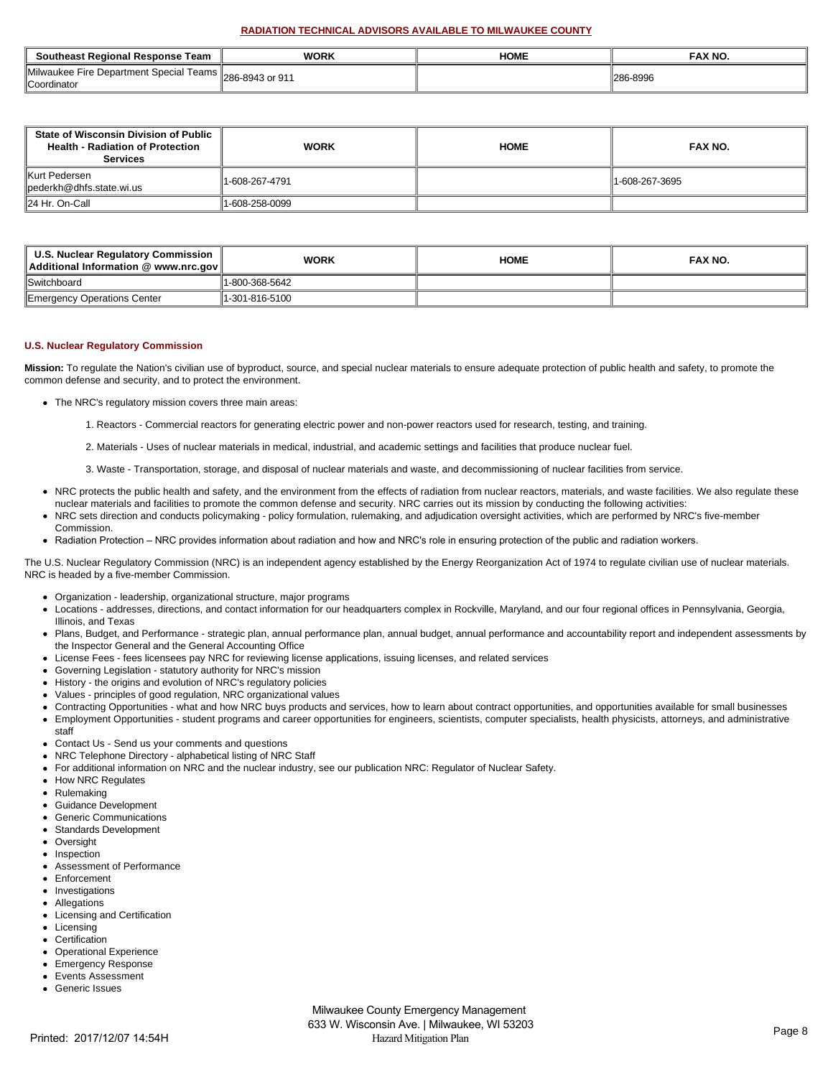## **RADIATION TECHNICAL ADVISORS AVAILABLE TO MILWAUKEE COUNTY**

| Southeast Regional Response Team                              | <b>WORK</b>      | HOME | FAX NO.  |
|---------------------------------------------------------------|------------------|------|----------|
| Milwaukee Fire Department Special Teams<br><b>Coordinator</b> | ∫286-8943 or 911 |      | 286-8996 |

| <b>State of Wisconsin Division of Public</b><br><b>Health - Radiation of Protection</b><br><b>Services</b> | <b>WORK</b>    | <b>HOME</b> | FAX NO.        |
|------------------------------------------------------------------------------------------------------------|----------------|-------------|----------------|
| Kurt Pedersen<br>$\parallel$ pederkh@dhfs.state.wi.us                                                      | 1-608-267-4791 |             | 1-608-267-3695 |
| 24 Hr. On-Call                                                                                             | 1-608-258-0099 |             |                |

| U.S. Nuclear Regulatory Commission<br>Additional Information @ www.nrc.gov | <b>WORK</b>    | <b>HOME</b> | <b>FAX NO.</b> |
|----------------------------------------------------------------------------|----------------|-------------|----------------|
| <b>Switchboard</b>                                                         | 1-800-368-5642 |             |                |
| Emergency Operations Center                                                | 1-301-816-5100 |             |                |

## **U.S. Nuclear Regulatory Commission**

**Mission:** To regulate the Nation's civilian use of byproduct, source, and special nuclear materials to ensure adequate protection of public health and safety, to promote the common defense and security, and to protect the environment.

- The NRC's regulatory mission covers three main areas:
	- 1. Reactors Commercial reactors for generating electric power and non-power reactors used for research, testing, and training.
	- 2. Materials Uses of nuclear materials in medical, industrial, and academic settings and facilities that produce nuclear fuel.
	- 3. Waste Transportation, storage, and disposal of nuclear materials and waste, and decommissioning of nuclear facilities from service.
- NRC protects the public health and safety, and the environment from the effects of radiation from nuclear reactors, materials, and waste facilities. We also regulate these nuclear materials and facilities to promote the common defense and security. NRC carries out its mission by conducting the following activities:
- NRC sets direction and conducts policymaking policy formulation, rulemaking, and adjudication oversight activities, which are performed by NRC's five-member Commission.
- Radiation Protection NRC provides information about radiation and how and NRC's role in ensuring protection of the public and radiation workers.

The U.S. Nuclear Regulatory Commission (NRC) is an independent agency established by the Energy Reorganization Act of 1974 to regulate civilian use of nuclear materials. NRC is headed by a five-member Commission.

- Organization leadership, organizational structure, major programs
- Locations addresses, directions, and contact information for our headquarters complex in Rockville, Maryland, and our four regional offices in Pennsylvania, Georgia, Illinois, and Texas
- $\bullet$ Plans, Budget, and Performance - strategic plan, annual performance plan, annual budget, annual performance and accountability report and independent assessments by the Inspector General and the General Accounting Office
- License Fees fees licensees pay NRC for reviewing license applications, issuing licenses, and related services
- Governing Legislation statutory authority for NRC's mission
- History the origins and evolution of NRC's regulatory policies
- Values principles of good regulation, NRC organizational values
- Contracting Opportunities what and how NRC buys products and services, how to learn about contract opportunities, and opportunities available for small businesses
- Employment Opportunities student programs and career opportunities for engineers, scientists, computer specialists, health physicists, attorneys, and administrative  $\bullet$ staff
- Contact Us Send us your comments and questions
- $\bullet$ NRC Telephone Directory - alphabetical listing of NRC Staff
- For additional information on NRC and the nuclear industry, see our publication NRC: Regulator of Nuclear Safety.
- $\bullet$ How NRC Regulates
- Rulemaking
- Guidance Development
- Generic Communications
- Standards Development
- **Oversight**
- Inspection
- Assessment of Performance
- $\bullet$ Enforcement
- Investigations
- Allegations Licensing and Certification
- Licensing
- **Certification**
- 
- Operational Experience
- Emergency Response Events Assessment
- Generic Issues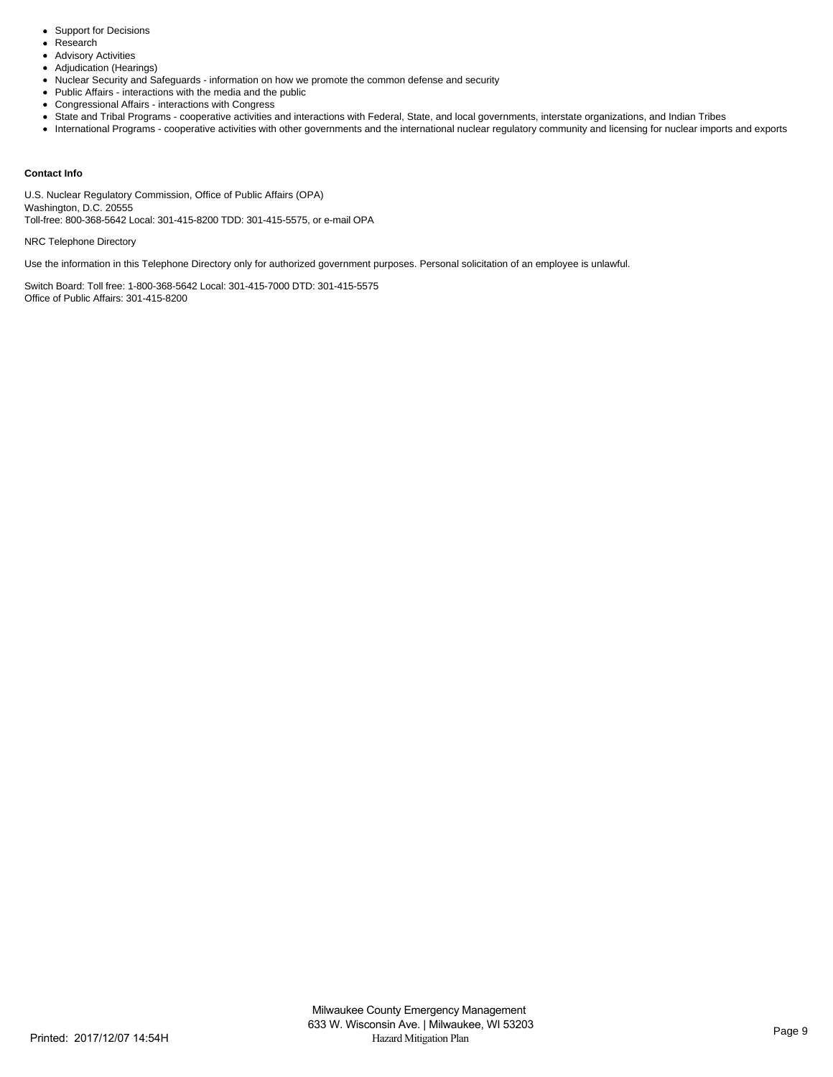- Support for Decisions
- Research  $\bullet$
- Advisory Activities
- Adjudication (Hearings)  $\bullet$
- Nuclear Security and Safeguards information on how we promote the common defense and security
- Public Affairs interactions with the media and the public
- Congressional Affairs interactions with Congress
- State and Tribal Programs cooperative activities and interactions with Federal, State, and local governments, interstate organizations, and Indian Tribes
- International Programs cooperative activities with other governments and the international nuclear regulatory community and licensing for nuclear imports and exports

## **Contact Info**

U.S. Nuclear Regulatory Commission, Office of Public Affairs (OPA) Washington, D.C. 20555 Toll-free: 800-368-5642 Local: 301-415-8200 TDD: 301-415-5575, or e-mail OPA

NRC Telephone Directory

Use the information in this Telephone Directory only for authorized government purposes. Personal solicitation of an employee is unlawful.

Switch Board: Toll free: 1-800-368-5642 Local: 301-415-7000 DTD: 301-415-5575 Office of Public Affairs: 301-415-8200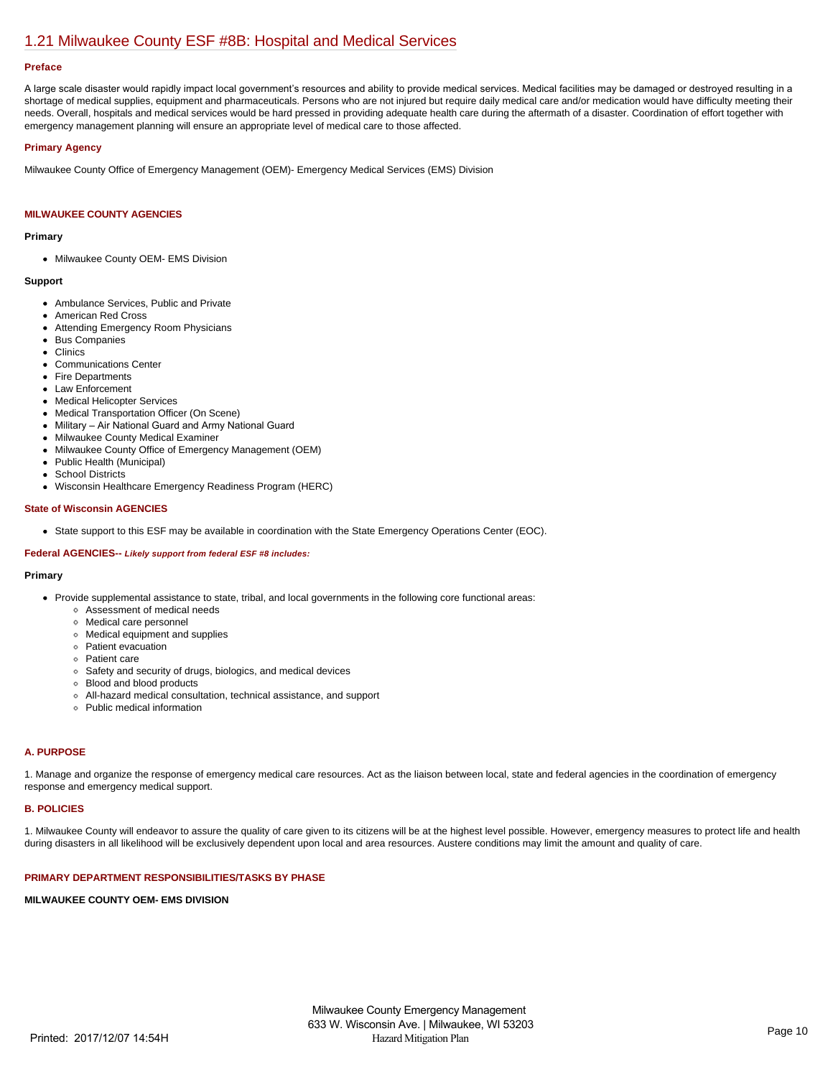# [1.21 Milwaukee County ESF #8B: Hospital and Medical Services](https://milwaukeecounty.isc-cemp.com/Cemp/Details?id=5813221)

### **Preface**

A large scale disaster would rapidly impact local government's resources and ability to provide medical services. Medical facilities may be damaged or destroyed resulting in a shortage of medical supplies, equipment and pharmaceuticals. Persons who are not injured but require daily medical care and/or medication would have difficulty meeting their needs. Overall, hospitals and medical services would be hard pressed in providing adequate health care during the aftermath of a disaster. Coordination of effort together with emergency management planning will ensure an appropriate level of medical care to those affected.

## **Primary Agency**

Milwaukee County Office of Emergency Management (OEM)- Emergency Medical Services (EMS) Division

## **MILWAUKEE COUNTY AGENCIES**

#### **Primary**

• Milwaukee County OEM- EMS Division

#### **Support**

- Ambulance Services, Public and Private
- American Red Cross
- Attending Emergency Room Physicians
- Bus Companies
- Clinics
- Communications Center
- Fire Departments
- Law Enforcement
- Medical Helicopter Services
- Medical Transportation Officer (On Scene)
- Military Air National Guard and Army National Guard
- Milwaukee County Medical Examiner
- Milwaukee County Office of Emergency Management (OEM)
- Public Health (Municipal)  $\bullet$
- School Districts
- Wisconsin Healthcare Emergency Readiness Program (HERC)  $\bullet$

#### **State of Wisconsin AGENCIES**

State support to this ESF may be available in coordination with the State Emergency Operations Center (EOC).

## **Federal AGENCIES--** *Likely support from federal ESF #8 includes:*

#### **Primary**

- Provide supplemental assistance to state, tribal, and local governments in the following core functional areas:
	- Assessment of medical needs
	- Medical care personnel
	- Medical equipment and supplies
	- Patient evacuation
	- Patient care
	- Safety and security of drugs, biologics, and medical devices
	- Blood and blood products
	- All-hazard medical consultation, technical assistance, and support
	- Public medical information

#### **A. PURPOSE**

1. Manage and organize the response of emergency medical care resources. Act as the liaison between local, state and federal agencies in the coordination of emergency response and emergency medical support.

## **B. POLICIES**

1. Milwaukee County will endeavor to assure the quality of care given to its citizens will be at the highest level possible. However, emergency measures to protect life and health during disasters in all likelihood will be exclusively dependent upon local and area resources. Austere conditions may limit the amount and quality of care.

## **PRIMARY DEPARTMENT RESPONSIBILITIES/TASKS BY PHASE**

## **MILWAUKEE COUNTY OEM- EMS DIVISION**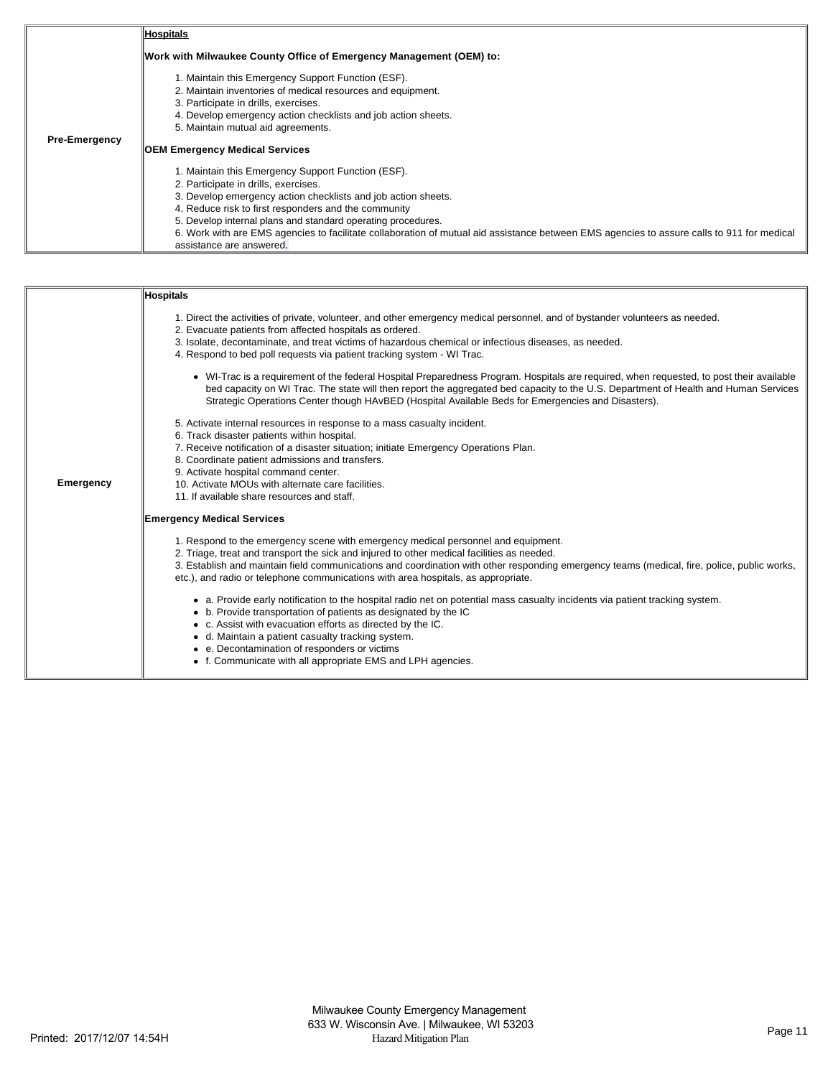|                      | <b>Hospitals</b>                                                                                                                                                       |  |  |  |
|----------------------|------------------------------------------------------------------------------------------------------------------------------------------------------------------------|--|--|--|
|                      | Work with Milwaukee County Office of Emergency Management (OEM) to:                                                                                                    |  |  |  |
|                      | 1. Maintain this Emergency Support Function (ESF).                                                                                                                     |  |  |  |
|                      | 2. Maintain inventories of medical resources and equipment.                                                                                                            |  |  |  |
|                      | 3. Participate in drills, exercises.                                                                                                                                   |  |  |  |
|                      | 4. Develop emergency action checklists and job action sheets.                                                                                                          |  |  |  |
|                      | 5. Maintain mutual aid agreements.                                                                                                                                     |  |  |  |
| <b>Pre-Emergency</b> | <b>OEM Emergency Medical Services</b>                                                                                                                                  |  |  |  |
|                      | 1. Maintain this Emergency Support Function (ESF).                                                                                                                     |  |  |  |
|                      | 2. Participate in drills, exercises.                                                                                                                                   |  |  |  |
|                      | 3. Develop emergency action checklists and job action sheets.                                                                                                          |  |  |  |
|                      | 4. Reduce risk to first responders and the community                                                                                                                   |  |  |  |
|                      | 5. Develop internal plans and standard operating procedures.                                                                                                           |  |  |  |
|                      | 6. Work with are EMS agencies to facilitate collaboration of mutual aid assistance between EMS agencies to assure calls to 911 for medical<br>assistance are answered. |  |  |  |

|                  | Hospitals                                                                                                                                                                                                                                                                                                                                                                             |
|------------------|---------------------------------------------------------------------------------------------------------------------------------------------------------------------------------------------------------------------------------------------------------------------------------------------------------------------------------------------------------------------------------------|
|                  | 1. Direct the activities of private, volunteer, and other emergency medical personnel, and of bystander volunteers as needed.<br>2. Evacuate patients from affected hospitals as ordered.<br>3. Isolate, decontaminate, and treat victims of hazardous chemical or infectious diseases, as needed.<br>4. Respond to bed poll requests via patient tracking system - WI Trac.          |
|                  | • WI-Trac is a requirement of the federal Hospital Preparedness Program. Hospitals are required, when requested, to post their available<br>bed capacity on WI Trac. The state will then report the aggregated bed capacity to the U.S. Department of Health and Human Services<br>Strategic Operations Center though HAvBED (Hospital Available Beds for Emergencies and Disasters). |
|                  | 5. Activate internal resources in response to a mass casualty incident.                                                                                                                                                                                                                                                                                                               |
|                  | 6. Track disaster patients within hospital.<br>7. Receive notification of a disaster situation; initiate Emergency Operations Plan.                                                                                                                                                                                                                                                   |
|                  | 8. Coordinate patient admissions and transfers.                                                                                                                                                                                                                                                                                                                                       |
| <b>Emergency</b> | 9. Activate hospital command center.                                                                                                                                                                                                                                                                                                                                                  |
|                  | 10. Activate MOUs with alternate care facilities.<br>11. If available share resources and staff.                                                                                                                                                                                                                                                                                      |
|                  | <b>Emergency Medical Services</b>                                                                                                                                                                                                                                                                                                                                                     |
|                  |                                                                                                                                                                                                                                                                                                                                                                                       |
|                  | 1. Respond to the emergency scene with emergency medical personnel and equipment.                                                                                                                                                                                                                                                                                                     |
|                  | 2. Triage, treat and transport the sick and injured to other medical facilities as needed.<br>3. Establish and maintain field communications and coordination with other responding emergency teams (medical, fire, police, public works,<br>etc.), and radio or telephone communications with area hospitals, as appropriate.                                                        |
|                  | • a. Provide early notification to the hospital radio net on potential mass casualty incidents via patient tracking system.<br>• b. Provide transportation of patients as designated by the IC<br>• c. Assist with evacuation efforts as directed by the IC.<br>• d. Maintain a patient casualty tracking system.<br>e. Decontamination of responders or victims                      |
|                  | • f. Communicate with all appropriate EMS and LPH agencies.                                                                                                                                                                                                                                                                                                                           |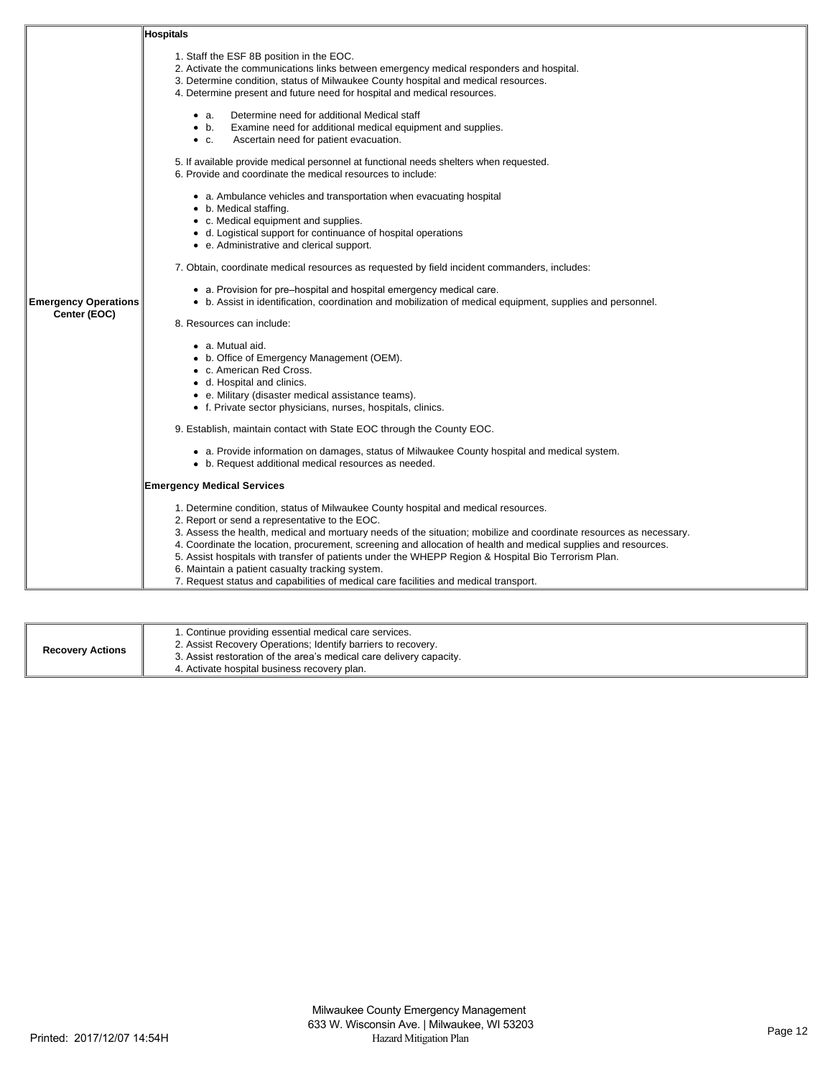|                             | <b>Hospitals</b>                                                                                                                                                                                                                                                                                                                                                                                                                                                                                                                                                                                                                |
|-----------------------------|---------------------------------------------------------------------------------------------------------------------------------------------------------------------------------------------------------------------------------------------------------------------------------------------------------------------------------------------------------------------------------------------------------------------------------------------------------------------------------------------------------------------------------------------------------------------------------------------------------------------------------|
|                             | 1. Staff the ESF 8B position in the EOC.<br>2. Activate the communications links between emergency medical responders and hospital.<br>3. Determine condition, status of Milwaukee County hospital and medical resources.<br>4. Determine present and future need for hospital and medical resources.                                                                                                                                                                                                                                                                                                                           |
|                             | Determine need for additional Medical staff<br>• а.<br>Examine need for additional medical equipment and supplies.<br>$\bullet$ b.<br>Ascertain need for patient evacuation.<br>$\bullet$ C.                                                                                                                                                                                                                                                                                                                                                                                                                                    |
|                             | 5. If available provide medical personnel at functional needs shelters when requested.<br>6. Provide and coordinate the medical resources to include:                                                                                                                                                                                                                                                                                                                                                                                                                                                                           |
|                             | • a. Ambulance vehicles and transportation when evacuating hospital<br>• b. Medical staffing.<br>• c. Medical equipment and supplies.<br>• d. Logistical support for continuance of hospital operations<br>• e. Administrative and clerical support.                                                                                                                                                                                                                                                                                                                                                                            |
|                             | 7. Obtain, coordinate medical resources as requested by field incident commanders, includes:                                                                                                                                                                                                                                                                                                                                                                                                                                                                                                                                    |
| <b>Emergency Operations</b> | • a. Provision for pre-hospital and hospital emergency medical care.<br>• b. Assist in identification, coordination and mobilization of medical equipment, supplies and personnel.                                                                                                                                                                                                                                                                                                                                                                                                                                              |
| Center (EOC)                | 8. Resources can include:                                                                                                                                                                                                                                                                                                                                                                                                                                                                                                                                                                                                       |
|                             | • a. Mutual aid.<br>• b. Office of Emergency Management (OEM).<br>• c. American Red Cross.<br>• d. Hospital and clinics.<br>• e. Military (disaster medical assistance teams).<br>• f. Private sector physicians, nurses, hospitals, clinics.                                                                                                                                                                                                                                                                                                                                                                                   |
|                             | 9. Establish, maintain contact with State EOC through the County EOC.                                                                                                                                                                                                                                                                                                                                                                                                                                                                                                                                                           |
|                             | • a. Provide information on damages, status of Milwaukee County hospital and medical system.<br>• b. Request additional medical resources as needed.                                                                                                                                                                                                                                                                                                                                                                                                                                                                            |
|                             | <b>Emergency Medical Services</b>                                                                                                                                                                                                                                                                                                                                                                                                                                                                                                                                                                                               |
|                             | 1. Determine condition, status of Milwaukee County hospital and medical resources.<br>2. Report or send a representative to the EOC.<br>3. Assess the health, medical and mortuary needs of the situation; mobilize and coordinate resources as necessary.<br>4. Coordinate the location, procurement, screening and allocation of health and medical supplies and resources.<br>5. Assist hospitals with transfer of patients under the WHEPP Region & Hospital Bio Terrorism Plan.<br>6. Maintain a patient casualty tracking system.<br>7. Request status and capabilities of medical care facilities and medical transport. |

| <b>Recovery Actions</b> | 1. Continue providing essential medical care services.<br>2. Assist Recovery Operations; Identify barriers to recovery.<br>3. Assist restoration of the area's medical care delivery capacity.<br>4. Activate hospital business recovery plan. |
|-------------------------|------------------------------------------------------------------------------------------------------------------------------------------------------------------------------------------------------------------------------------------------|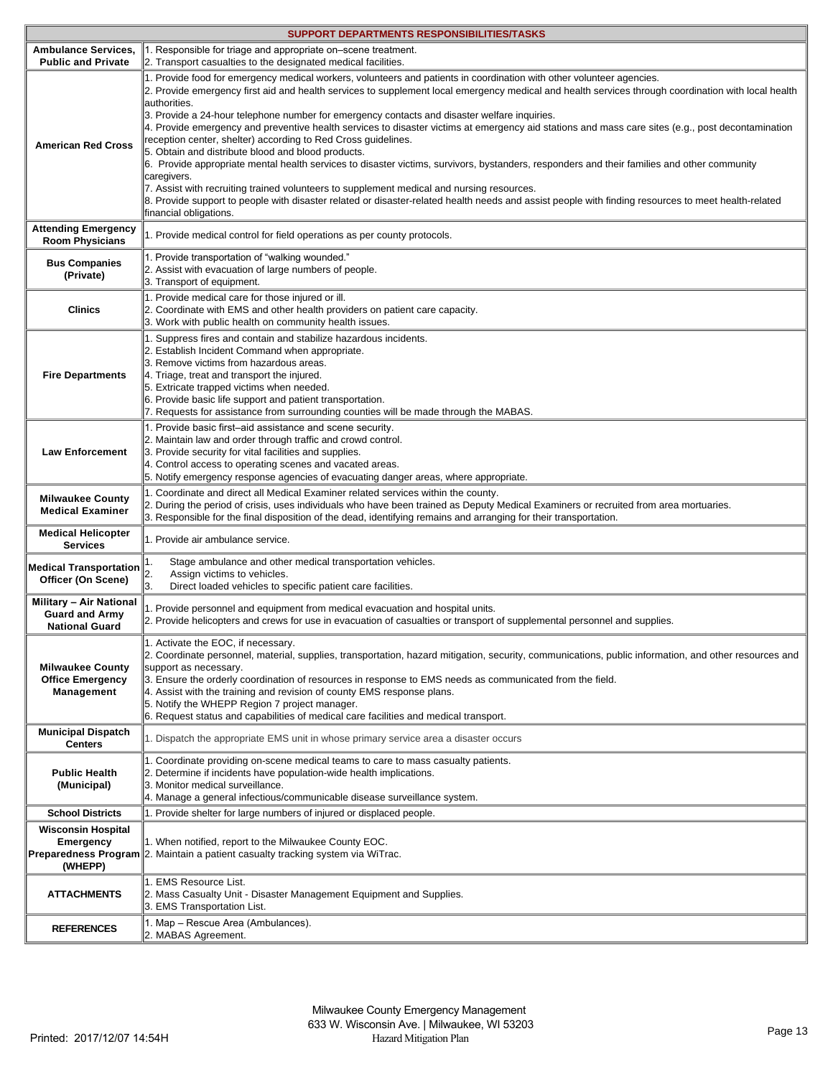|                                                                                  | SUPPORT DEPARTMENTS RESPONSIBILITIES/TASKS                                                                                                                                                                                                                                                                                                                                                                                                                                                                                                                                                                                                                                                                                                                                                                                                                                                                                                                                                                                                                                                                           |
|----------------------------------------------------------------------------------|----------------------------------------------------------------------------------------------------------------------------------------------------------------------------------------------------------------------------------------------------------------------------------------------------------------------------------------------------------------------------------------------------------------------------------------------------------------------------------------------------------------------------------------------------------------------------------------------------------------------------------------------------------------------------------------------------------------------------------------------------------------------------------------------------------------------------------------------------------------------------------------------------------------------------------------------------------------------------------------------------------------------------------------------------------------------------------------------------------------------|
| <b>Ambulance Services,</b>                                                       | 1. Responsible for triage and appropriate on-scene treatment.                                                                                                                                                                                                                                                                                                                                                                                                                                                                                                                                                                                                                                                                                                                                                                                                                                                                                                                                                                                                                                                        |
| <b>Public and Private</b>                                                        | 2. Transport casualties to the designated medical facilities.                                                                                                                                                                                                                                                                                                                                                                                                                                                                                                                                                                                                                                                                                                                                                                                                                                                                                                                                                                                                                                                        |
| <b>American Red Cross</b>                                                        | 1. Provide food for emergency medical workers, volunteers and patients in coordination with other volunteer agencies.<br>2. Provide emergency first aid and health services to supplement local emergency medical and health services through coordination with local health<br>authorities.<br>3. Provide a 24-hour telephone number for emergency contacts and disaster welfare inquiries.<br>4. Provide emergency and preventive health services to disaster victims at emergency aid stations and mass care sites (e.g., post decontamination<br>reception center, shelter) according to Red Cross guidelines.<br>5. Obtain and distribute blood and blood products.<br>6. Provide appropriate mental health services to disaster victims, survivors, bystanders, responders and their families and other community<br>caregivers.<br>7. Assist with recruiting trained volunteers to supplement medical and nursing resources.<br>8. Provide support to people with disaster related or disaster-related health needs and assist people with finding resources to meet health-related<br>financial obligations. |
| <b>Attending Emergency</b><br><b>Room Physicians</b>                             | 1. Provide medical control for field operations as per county protocols.                                                                                                                                                                                                                                                                                                                                                                                                                                                                                                                                                                                                                                                                                                                                                                                                                                                                                                                                                                                                                                             |
| <b>Bus Companies</b><br>(Private)                                                | 1. Provide transportation of "walking wounded."<br>2. Assist with evacuation of large numbers of people.<br>3. Transport of equipment.                                                                                                                                                                                                                                                                                                                                                                                                                                                                                                                                                                                                                                                                                                                                                                                                                                                                                                                                                                               |
| <b>Clinics</b>                                                                   | 1. Provide medical care for those injured or ill.<br>2. Coordinate with EMS and other health providers on patient care capacity.<br>3. Work with public health on community health issues.                                                                                                                                                                                                                                                                                                                                                                                                                                                                                                                                                                                                                                                                                                                                                                                                                                                                                                                           |
| <b>Fire Departments</b>                                                          | 1. Suppress fires and contain and stabilize hazardous incidents.<br>2. Establish Incident Command when appropriate.<br>3. Remove victims from hazardous areas.<br>4. Triage, treat and transport the injured.<br>5. Extricate trapped victims when needed.<br>6. Provide basic life support and patient transportation.<br>7. Requests for assistance from surrounding counties will be made through the MABAS.                                                                                                                                                                                                                                                                                                                                                                                                                                                                                                                                                                                                                                                                                                      |
| <b>Law Enforcement</b>                                                           | 1. Provide basic first-aid assistance and scene security.<br>2. Maintain law and order through traffic and crowd control.<br>3. Provide security for vital facilities and supplies.<br>4. Control access to operating scenes and vacated areas.<br>5. Notify emergency response agencies of evacuating danger areas, where appropriate.                                                                                                                                                                                                                                                                                                                                                                                                                                                                                                                                                                                                                                                                                                                                                                              |
| <b>Milwaukee County</b><br><b>Medical Examiner</b>                               | 1. Coordinate and direct all Medical Examiner related services within the county.<br>2. During the period of crisis, uses individuals who have been trained as Deputy Medical Examiners or recruited from area mortuaries.<br>3. Responsible for the final disposition of the dead, identifying remains and arranging for their transportation.                                                                                                                                                                                                                                                                                                                                                                                                                                                                                                                                                                                                                                                                                                                                                                      |
| <b>Medical Helicopter</b><br><b>Services</b>                                     | 1. Provide air ambulance service.                                                                                                                                                                                                                                                                                                                                                                                                                                                                                                                                                                                                                                                                                                                                                                                                                                                                                                                                                                                                                                                                                    |
| <b>Medical Transportation</b><br>Officer (On Scene)                              | Stage ambulance and other medical transportation vehicles.<br>1.<br>2.<br>Assign victims to vehicles.<br>3.<br>Direct loaded vehicles to specific patient care facilities.                                                                                                                                                                                                                                                                                                                                                                                                                                                                                                                                                                                                                                                                                                                                                                                                                                                                                                                                           |
| <b>Military - Air National</b><br><b>Guard and Army</b><br><b>National Guard</b> | 1. Provide personnel and equipment from medical evacuation and hospital units.<br>2. Provide helicopters and crews for use in evacuation of casualties or transport of supplemental personnel and supplies.                                                                                                                                                                                                                                                                                                                                                                                                                                                                                                                                                                                                                                                                                                                                                                                                                                                                                                          |
| <b>Milwaukee County</b><br><b>Office Emergency</b><br>Management                 | 1. Activate the EOC, if necessary.<br>2. Coordinate personnel, material, supplies, transportation, hazard mitigation, security, communications, public information, and other resources and<br>support as necessary.<br>3. Ensure the orderly coordination of resources in response to EMS needs as communicated from the field.<br>4. Assist with the training and revision of county EMS response plans.<br>5. Notify the WHEPP Region 7 project manager.<br>6. Request status and capabilities of medical care facilities and medical transport.                                                                                                                                                                                                                                                                                                                                                                                                                                                                                                                                                                  |
| <b>Municipal Dispatch</b><br><b>Centers</b>                                      | 1. Dispatch the appropriate EMS unit in whose primary service area a disaster occurs                                                                                                                                                                                                                                                                                                                                                                                                                                                                                                                                                                                                                                                                                                                                                                                                                                                                                                                                                                                                                                 |
| <b>Public Health</b><br>(Municipal)                                              | 1. Coordinate providing on-scene medical teams to care to mass casualty patients.<br>2. Determine if incidents have population-wide health implications.<br>3. Monitor medical surveillance.<br>4. Manage a general infectious/communicable disease surveillance system.                                                                                                                                                                                                                                                                                                                                                                                                                                                                                                                                                                                                                                                                                                                                                                                                                                             |
| <b>School Districts</b>                                                          | 1. Provide shelter for large numbers of injured or displaced people.                                                                                                                                                                                                                                                                                                                                                                                                                                                                                                                                                                                                                                                                                                                                                                                                                                                                                                                                                                                                                                                 |
| <b>Wisconsin Hospital</b><br>Emergency<br>(WHEPP)                                | 1. When notified, report to the Milwaukee County EOC.<br><b>Preparedness Program</b> 2. Maintain a patient casualty tracking system via WiTrac.                                                                                                                                                                                                                                                                                                                                                                                                                                                                                                                                                                                                                                                                                                                                                                                                                                                                                                                                                                      |
| <b>ATTACHMENTS</b>                                                               | 1. EMS Resource List.<br>2. Mass Casualty Unit - Disaster Management Equipment and Supplies.<br>3. EMS Transportation List.                                                                                                                                                                                                                                                                                                                                                                                                                                                                                                                                                                                                                                                                                                                                                                                                                                                                                                                                                                                          |
| <b>REFERENCES</b>                                                                | 1. Map - Rescue Area (Ambulances).<br>2. MABAS Agreement.                                                                                                                                                                                                                                                                                                                                                                                                                                                                                                                                                                                                                                                                                                                                                                                                                                                                                                                                                                                                                                                            |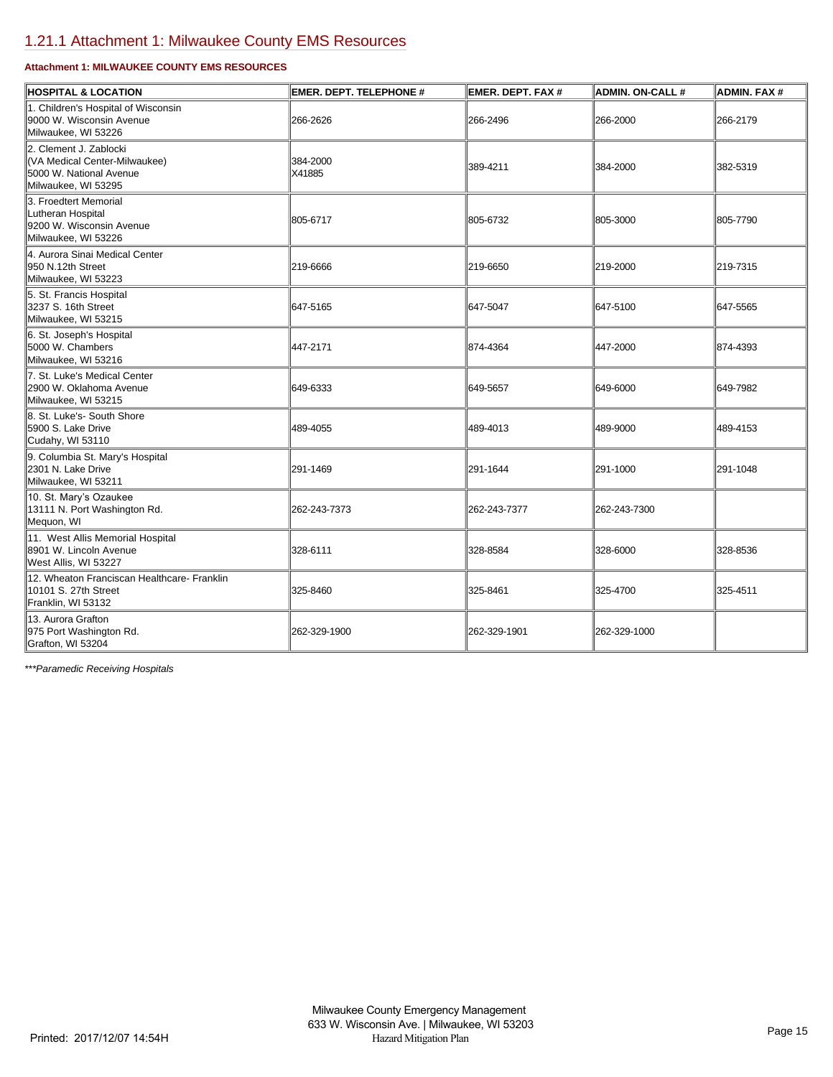# [1.21.1 Attachment 1: Milwaukee County EMS Resources](https://milwaukeecounty.isc-cemp.com/Cemp/Details?id=5813260)

## **Attachment 1: MILWAUKEE COUNTY EMS RESOURCES**

| <b>HOSPITAL &amp; LOCATION</b>                                                                            | <b>EMER. DEPT. TELEPHONE #</b> | <b>EMER. DEPT. FAX #</b> | <b>ADMIN. ON-CALL #</b> | <b>ADMIN. FAX #</b> |
|-----------------------------------------------------------------------------------------------------------|--------------------------------|--------------------------|-------------------------|---------------------|
| 1. Children's Hospital of Wisconsin<br>9000 W. Wisconsin Avenue<br>Milwaukee, WI 53226                    | 266-2626                       | 266-2496                 | 266-2000                | 266-2179            |
| 2. Clement J. Zablocki<br>(VA Medical Center-Milwaukee)<br>5000 W. National Avenue<br>Milwaukee, WI 53295 | 384-2000<br>X41885             | 389-4211                 | 384-2000                | 382-5319            |
| 3. Froedtert Memorial<br>Lutheran Hospital<br>9200 W. Wisconsin Avenue<br>Milwaukee, WI 53226             | 805-6717                       | 805-6732                 | 805-3000                | 805-7790            |
| 4. Aurora Sinai Medical Center<br>950 N.12th Street<br>Milwaukee, WI 53223                                | 219-6666                       | 219-6650                 | 219-2000                | 219-7315            |
| 5. St. Francis Hospital<br>3237 S. 16th Street<br>Milwaukee, WI 53215                                     | 647-5165                       | 647-5047                 | 647-5100                | 647-5565            |
| 6. St. Joseph's Hospital<br>5000 W. Chambers<br>Milwaukee. WI 53216                                       | 447-2171                       | 874-4364                 | 447-2000                | 874-4393            |
| 7. St. Luke's Medical Center<br>2900 W. Oklahoma Avenue<br>Milwaukee, WI 53215                            | 649-6333                       | 649-5657                 | 649-6000                | 649-7982            |
| 8. St. Luke's- South Shore<br>5900 S. Lake Drive<br>Cudahy, WI 53110                                      | 489-4055                       | 489-4013                 | 489-9000                | 489-4153            |
| 9. Columbia St. Mary's Hospital<br>2301 N. Lake Drive<br>Milwaukee, WI 53211                              | 291-1469                       | 291-1644                 | 291-1000                | 291-1048            |
| 10. St. Mary's Ozaukee<br>13111 N. Port Washington Rd.<br>Mequon, WI                                      | 262-243-7373                   | 262-243-7377             | 262-243-7300            |                     |
| 11. West Allis Memorial Hospital<br>8901 W. Lincoln Avenue<br>West Allis, WI 53227                        | 328-6111                       | 328-8584                 | 328-6000                | 328-8536            |
| 12. Wheaton Franciscan Healthcare- Franklin<br>10101 S. 27th Street<br>Franklin, WI 53132                 | 325-8460                       | 325-8461                 | 325-4700                | 325-4511            |
| 13. Aurora Grafton<br>975 Port Washington Rd.<br>Grafton, WI 53204                                        | 262-329-1900                   | 262-329-1901             | 262-329-1000            |                     |

*\*\*\*Paramedic Receiving Hospitals*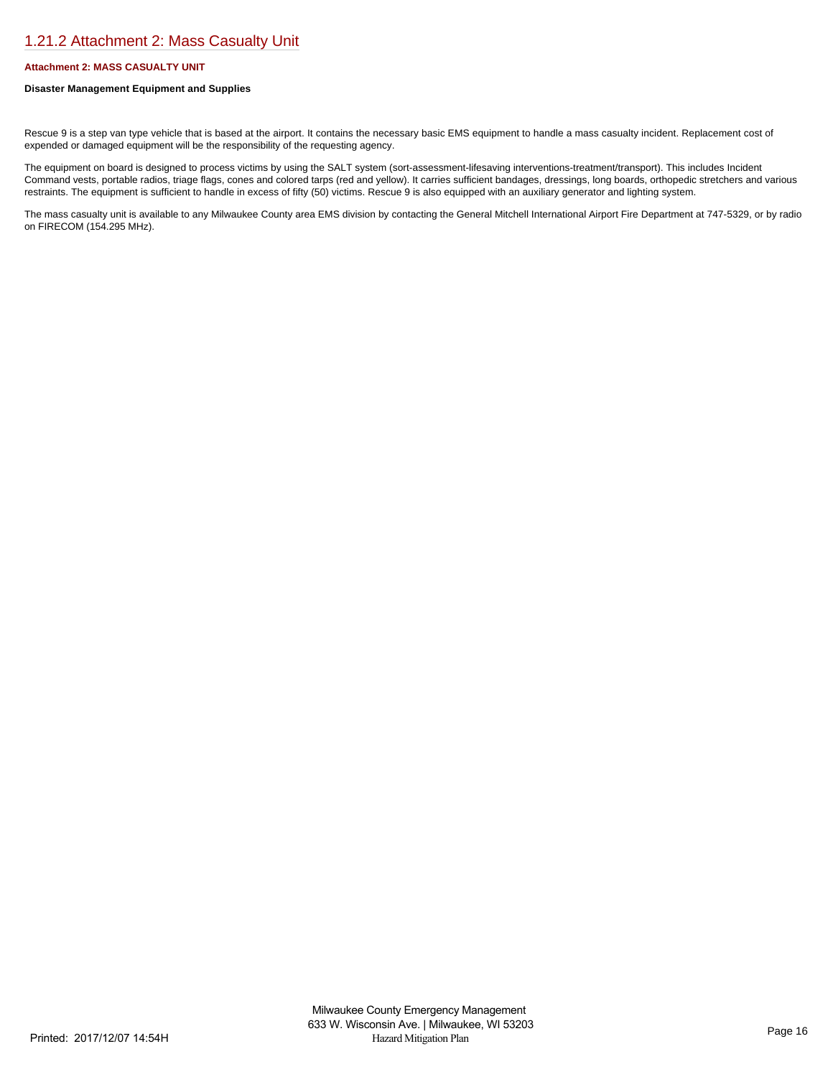# [1.21.2 Attachment 2: Mass Casualty Unit](https://milwaukeecounty.isc-cemp.com/Cemp/Details?id=5813261)

## **Attachment 2: MASS CASUALTY UNIT**

## **Disaster Management Equipment and Supplies**

Rescue 9 is a step van type vehicle that is based at the airport. It contains the necessary basic EMS equipment to handle a mass casualty incident. Replacement cost of expended or damaged equipment will be the responsibility of the requesting agency.

The equipment on board is designed to process victims by using the SALT system (sort-assessment-lifesaving interventions-treatment/transport). This includes Incident Command vests, portable radios, triage flags, cones and colored tarps (red and yellow). It carries sufficient bandages, dressings, long boards, orthopedic stretchers and various restraints. The equipment is sufficient to handle in excess of fifty (50) victims. Rescue 9 is also equipped with an auxiliary generator and lighting system.

The mass casualty unit is available to any Milwaukee County area EMS division by contacting the General Mitchell International Airport Fire Department at 747-5329, or by radio on FIRECOM (154.295 MHz).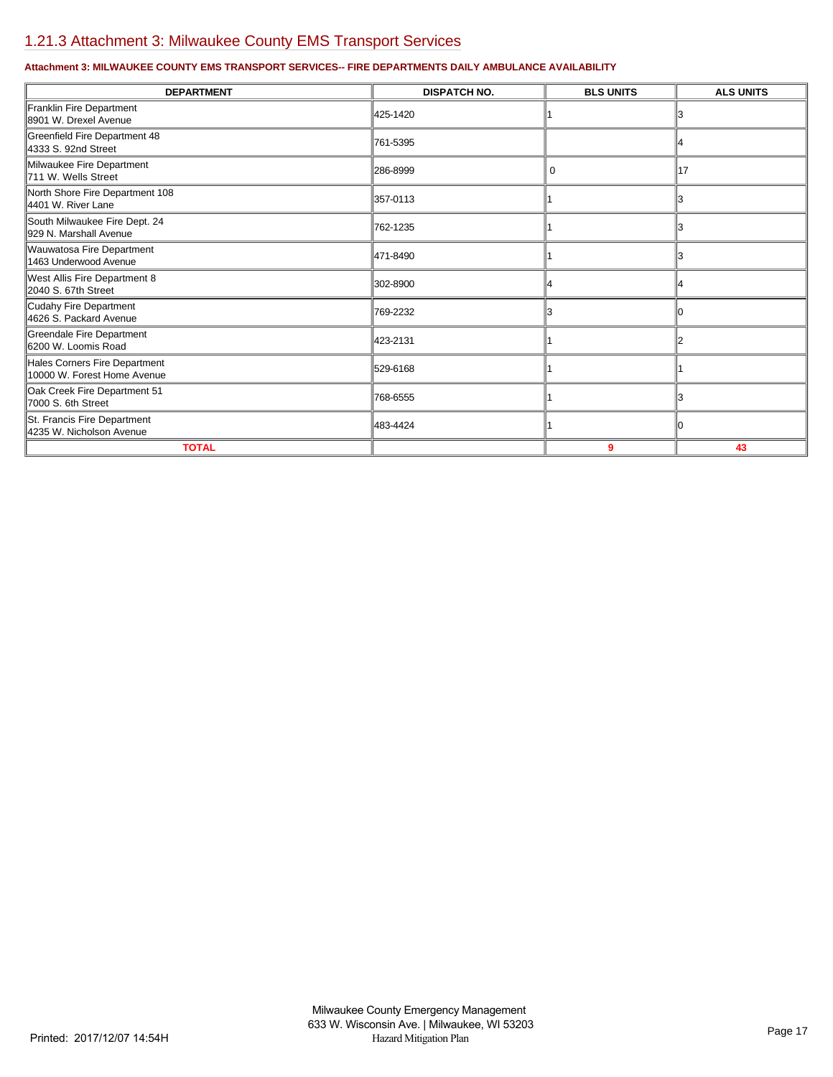# [1.21.3 Attachment 3: Milwaukee County EMS Transport Services](https://milwaukeecounty.isc-cemp.com/Cemp/Details?id=5813262)

## **Attachment 3: MILWAUKEE COUNTY EMS TRANSPORT SERVICES-- FIRE DEPARTMENTS DAILY AMBULANCE AVAILABILITY**

| <b>DEPARTMENT</b>                                            | <b>DISPATCH NO.</b> | <b>BLS UNITS</b> | <b>ALS UNITS</b> |
|--------------------------------------------------------------|---------------------|------------------|------------------|
| Franklin Fire Department<br>8901 W. Drexel Avenue            | 425-1420            |                  |                  |
| Greenfield Fire Department 48<br>4333 S. 92nd Street         | 761-5395            |                  |                  |
| Milwaukee Fire Department<br>711 W. Wells Street             | 286-8999            | 0                | 17               |
| North Shore Fire Department 108<br>4401 W. River Lane        | 357-0113            |                  |                  |
| South Milwaukee Fire Dept. 24<br>929 N. Marshall Avenue      | 762-1235            |                  |                  |
| Wauwatosa Fire Department<br>1463 Underwood Avenue           | 471-8490            |                  |                  |
| West Allis Fire Department 8<br>2040 S. 67th Street          | 302-8900            |                  |                  |
| Cudahy Fire Department<br>4626 S. Packard Avenue             | 769-2232            |                  |                  |
| Greendale Fire Department<br>6200 W. Loomis Road             | 423-2131            |                  |                  |
| Hales Corners Fire Department<br>10000 W. Forest Home Avenue | 529-6168            |                  |                  |
| Oak Creek Fire Department 51<br>7000 S. 6th Street           | 768-6555            |                  |                  |
| St. Francis Fire Department<br>4235 W. Nicholson Avenue      | 483-4424            |                  |                  |
| <b>TOTAL</b>                                                 |                     | 9                | 43               |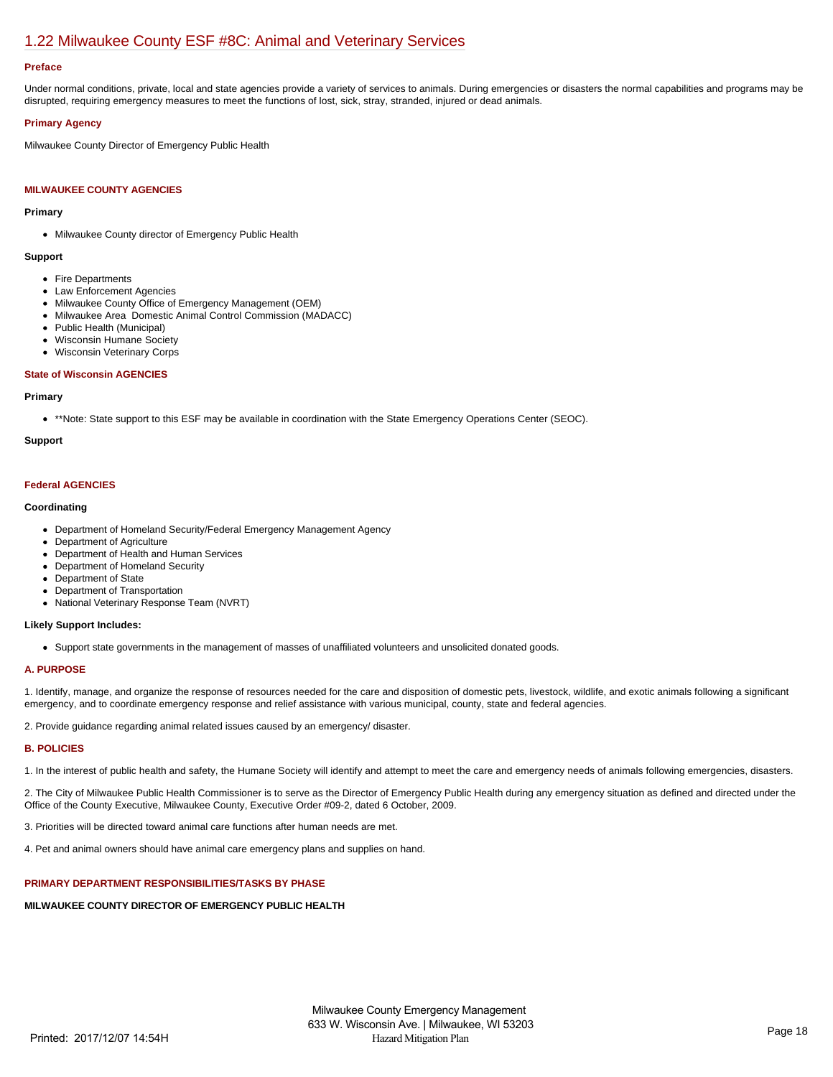# [1.22 Milwaukee County ESF #8C: Animal and Veterinary Services](https://milwaukeecounty.isc-cemp.com/Cemp/Details?id=5813222)

## **Preface**

Under normal conditions, private, local and state agencies provide a variety of services to animals. During emergencies or disasters the normal capabilities and programs may be disrupted, requiring emergency measures to meet the functions of lost, sick, stray, stranded, injured or dead animals.

## **Primary Agency**

Milwaukee County Director of Emergency Public Health

## **MILWAUKEE COUNTY AGENCIES**

## **Primary**

• Milwaukee County director of Emergency Public Health

#### **Support**

- Fire Departments
- Law Enforcement Agencies
- Milwaukee County Office of Emergency Management (OEM)
- Milwaukee Area Domestic Animal Control Commission (MADACC)
- Public Health (Municipal)
- Wisconsin Humane Society
- Wisconsin Veterinary Corps

## **State of Wisconsin AGENCIES**

#### **Primary**

\*\*Note: State support to this ESF may be available in coordination with the State Emergency Operations Center (SEOC).

## **Support**

## **Federal AGENCIES**

## **Coordinating**

- Department of Homeland Security/Federal Emergency Management Agency
- Department of Agriculture
- Department of Health and Human Services  $\bullet$
- Department of Homeland Security
- Department of State
- Department of Transportation
- National Veterinary Response Team (NVRT)

## **Likely Support Includes:**

Support state governments in the management of masses of unaffiliated volunteers and unsolicited donated goods.

## **A. PURPOSE**

1. Identify, manage, and organize the response of resources needed for the care and disposition of domestic pets, livestock, wildlife, and exotic animals following a significant emergency, and to coordinate emergency response and relief assistance with various municipal, county, state and federal agencies.

2. Provide guidance regarding animal related issues caused by an emergency/ disaster.

## **B. POLICIES**

1. In the interest of public health and safety, the Humane Society will identify and attempt to meet the care and emergency needs of animals following emergencies, disasters.

2. The City of Milwaukee Public Health Commissioner is to serve as the Director of Emergency Public Health during any emergency situation as defined and directed under the Office of the County Executive, Milwaukee County, Executive Order #09-2, dated 6 October, 2009.

3. Priorities will be directed toward animal care functions after human needs are met.

4. Pet and animal owners should have animal care emergency plans and supplies on hand.

## **PRIMARY DEPARTMENT RESPONSIBILITIES/TASKS BY PHASE**

**MILWAUKEE COUNTY DIRECTOR OF EMERGENCY PUBLIC HEALTH**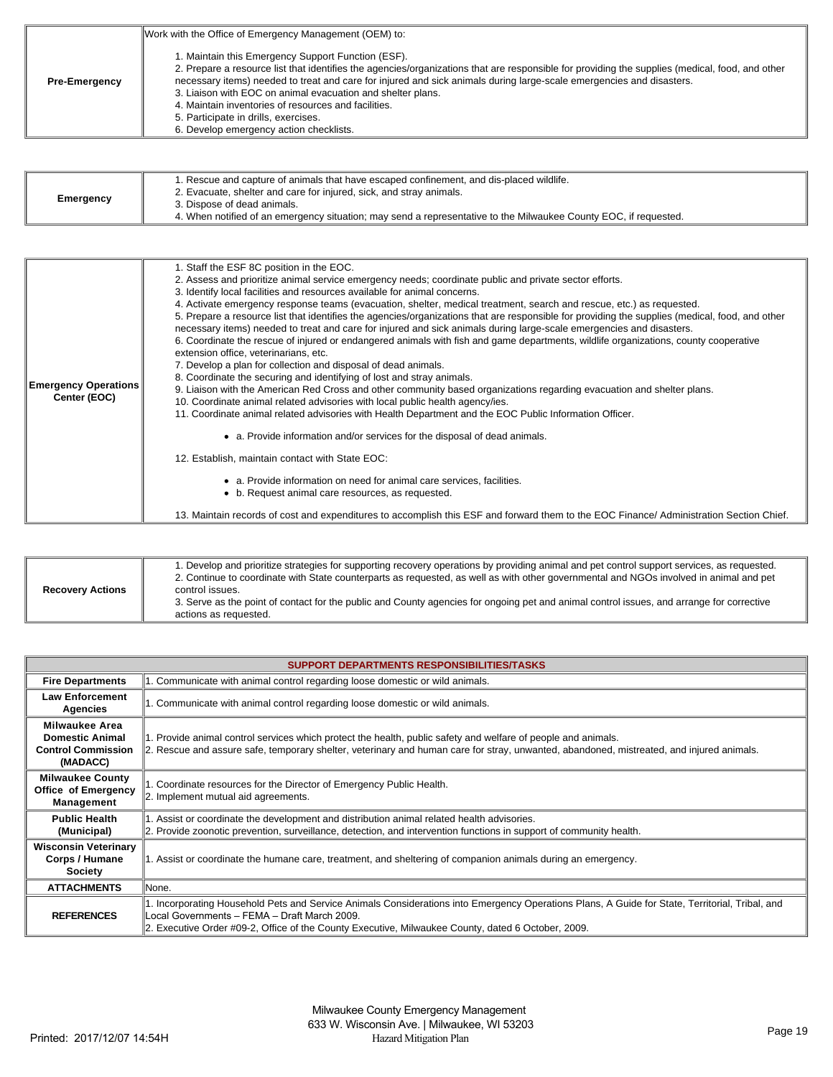|                      | Work with the Office of Emergency Management (OEM) to:                                                                                                                                                                                                                                                                                                                                                                                                                                                                                  |
|----------------------|-----------------------------------------------------------------------------------------------------------------------------------------------------------------------------------------------------------------------------------------------------------------------------------------------------------------------------------------------------------------------------------------------------------------------------------------------------------------------------------------------------------------------------------------|
| <b>Pre-Emergency</b> | 1. Maintain this Emergency Support Function (ESF).<br>2. Prepare a resource list that identifies the agencies/organizations that are responsible for providing the supplies (medical, food, and other<br>necessary items) needed to treat and care for injured and sick animals during large-scale emergencies and disasters.<br>3. Liaison with EOC on animal evacuation and shelter plans.<br>4. Maintain inventories of resources and facilities.<br>5. Participate in drills, exercises.<br>6. Develop emergency action checklists. |

| Emergency | 1. Rescue and capture of animals that have escaped confinement, and dis-placed wildlife.                         |
|-----------|------------------------------------------------------------------------------------------------------------------|
|           | 2. Evacuate, shelter and care for injured, sick, and stray animals.                                              |
|           | 3. Dispose of dead animals.                                                                                      |
|           | 4. When notified of an emergency situation; may send a representative to the Milwaukee County EOC, if requested. |

| <b>Emergency Operations</b><br>Center (EOC) | 1. Staff the ESF 8C position in the EOC.<br>2. Assess and prioritize animal service emergency needs; coordinate public and private sector efforts.<br>3. Identify local facilities and resources available for animal concerns.<br>4. Activate emergency response teams (evacuation, shelter, medical treatment, search and rescue, etc.) as requested.<br>5. Prepare a resource list that identifies the agencies/organizations that are responsible for providing the supplies (medical, food, and other<br>necessary items) needed to treat and care for injured and sick animals during large-scale emergencies and disasters.<br>6. Coordinate the rescue of injured or endangered animals with fish and game departments, wildlife organizations, county cooperative<br>extension office, veterinarians, etc.<br>7. Develop a plan for collection and disposal of dead animals.<br>8. Coordinate the securing and identifying of lost and stray animals.<br>9. Liaison with the American Red Cross and other community based organizations regarding evacuation and shelter plans.<br>10. Coordinate animal related advisories with local public health agency/ies.<br>11. Coordinate animal related advisories with Health Department and the EOC Public Information Officer.<br>• a. Provide information and/or services for the disposal of dead animals.<br>12. Establish, maintain contact with State EOC:<br>• a. Provide information on need for animal care services, facilities.<br>• b. Request animal care resources, as requested.<br>13. Maintain records of cost and expenditures to accomplish this ESF and forward them to the EOC Finance/ Administration Section Chief. |
|---------------------------------------------|-------------------------------------------------------------------------------------------------------------------------------------------------------------------------------------------------------------------------------------------------------------------------------------------------------------------------------------------------------------------------------------------------------------------------------------------------------------------------------------------------------------------------------------------------------------------------------------------------------------------------------------------------------------------------------------------------------------------------------------------------------------------------------------------------------------------------------------------------------------------------------------------------------------------------------------------------------------------------------------------------------------------------------------------------------------------------------------------------------------------------------------------------------------------------------------------------------------------------------------------------------------------------------------------------------------------------------------------------------------------------------------------------------------------------------------------------------------------------------------------------------------------------------------------------------------------------------------------------------------------------------------------------------------------------------------------------|
|---------------------------------------------|-------------------------------------------------------------------------------------------------------------------------------------------------------------------------------------------------------------------------------------------------------------------------------------------------------------------------------------------------------------------------------------------------------------------------------------------------------------------------------------------------------------------------------------------------------------------------------------------------------------------------------------------------------------------------------------------------------------------------------------------------------------------------------------------------------------------------------------------------------------------------------------------------------------------------------------------------------------------------------------------------------------------------------------------------------------------------------------------------------------------------------------------------------------------------------------------------------------------------------------------------------------------------------------------------------------------------------------------------------------------------------------------------------------------------------------------------------------------------------------------------------------------------------------------------------------------------------------------------------------------------------------------------------------------------------------------------|

|                         | . Develop and prioritize strategies for supporting recovery operations by providing animal and pet control support services, as requested.<br>2. Continue to coordinate with State counterparts as requested, as well as with other governmental and NGOs involved in animal and pet |
|-------------------------|--------------------------------------------------------------------------------------------------------------------------------------------------------------------------------------------------------------------------------------------------------------------------------------|
| <b>Recovery Actions</b> | control issues.<br>3. Serve as the point of contact for the public and County agencies for ongoing pet and animal control issues, and arrange for corrective<br>actions as requested.                                                                                                |

| SUPPORT DEPARTMENTS RESPONSIBILITIES/TASKS                                               |                                                                                                                                                                                                                                                                                                       |  |  |
|------------------------------------------------------------------------------------------|-------------------------------------------------------------------------------------------------------------------------------------------------------------------------------------------------------------------------------------------------------------------------------------------------------|--|--|
| <b>Fire Departments</b>                                                                  | 1. Communicate with animal control regarding loose domestic or wild animals.                                                                                                                                                                                                                          |  |  |
| <b>Law Enforcement</b><br>Agencies                                                       | 1. Communicate with animal control regarding loose domestic or wild animals.                                                                                                                                                                                                                          |  |  |
| <b>Milwaukee Area</b><br><b>Domestic Animal</b><br><b>Control Commission</b><br>(MADACC) | 1. Provide animal control services which protect the health, public safety and welfare of people and animals.<br>2. Rescue and assure safe, temporary shelter, veterinary and human care for stray, unwanted, abandoned, mistreated, and injured animals.                                             |  |  |
| <b>Milwaukee County</b><br><b>Office of Emergency</b><br>Management                      | 1. Coordinate resources for the Director of Emergency Public Health.<br>2. Implement mutual aid agreements.                                                                                                                                                                                           |  |  |
| <b>Public Health</b><br>(Municipal)                                                      | 1. Assist or coordinate the development and distribution animal related health advisories.<br>2. Provide zoonotic prevention, surveillance, detection, and intervention functions in support of community health.                                                                                     |  |  |
| <b>Wisconsin Veterinary</b><br>Corps / Humane<br><b>Society</b>                          | 1. Assist or coordinate the humane care, treatment, and sheltering of companion animals during an emergency.                                                                                                                                                                                          |  |  |
| <b>ATTACHMENTS</b>                                                                       | lNone.                                                                                                                                                                                                                                                                                                |  |  |
| <b>REFERENCES</b>                                                                        | I. Incorporating Household Pets and Service Animals Considerations into Emergency Operations Plans, A Guide for State, Territorial, Tribal, and<br>Local Governments - FEMA - Draft March 2009.<br>2. Executive Order #09-2, Office of the County Executive, Milwaukee County, dated 6 October, 2009. |  |  |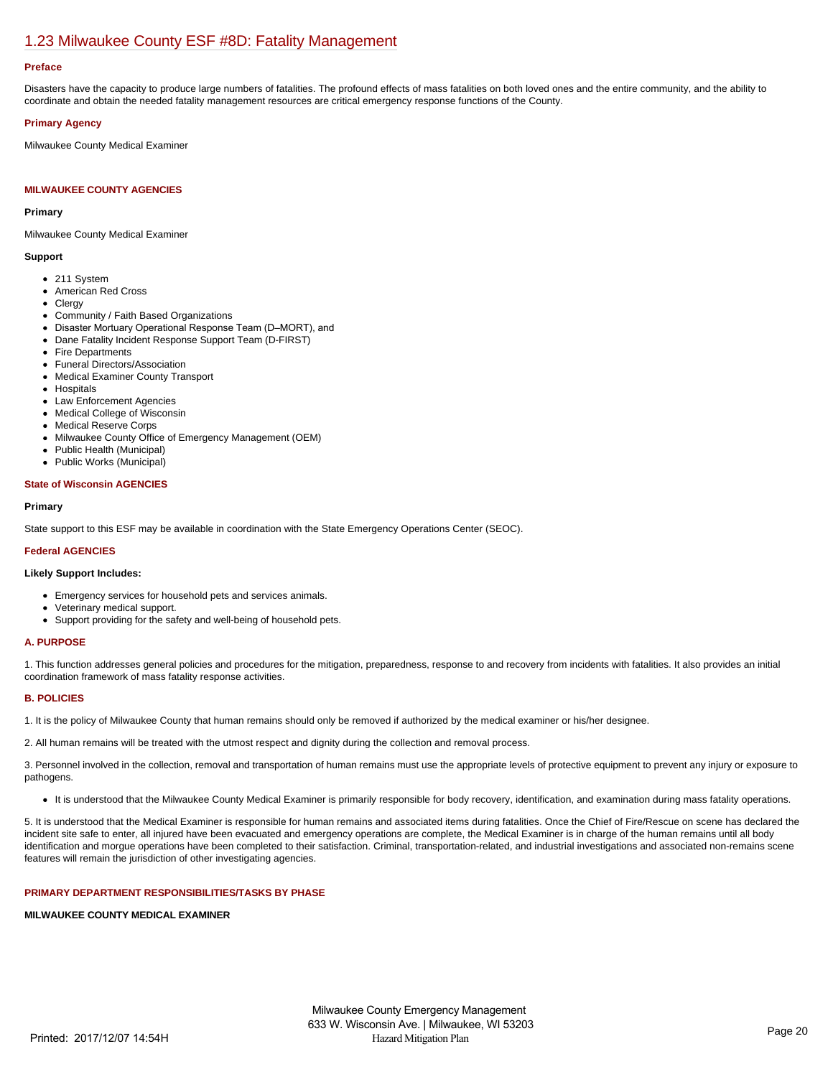## [1.23 Milwaukee County ESF #8D: Fatality Management](https://milwaukeecounty.isc-cemp.com/Cemp/Details?id=5813223)

#### **Preface**

Disasters have the capacity to produce large numbers of fatalities. The profound effects of mass fatalities on both loved ones and the entire community, and the ability to coordinate and obtain the needed fatality management resources are critical emergency response functions of the County.

## **Primary Agency**

Milwaukee County Medical Examiner

## **MILWAUKEE COUNTY AGENCIES**

#### **Primary**

Milwaukee County Medical Examiner

## **Support**

- 211 System
- American Red Cross
- Clergy
- Community / Faith Based Organizations
- Disaster Mortuary Operational Response Team (D–MORT), and
- Dane Fatality Incident Response Support Team (D-FIRST)
- Fire Departments
- Funeral Directors/Association
- Medical Examiner County Transport
- Hospitals
- Law Enforcement Agencies
- Medical College of Wisconsin
- Medical Reserve Corps
- Milwaukee County Office of Emergency Management (OEM)
- Public Health (Municipal)
- Public Works (Municipal)  $\bullet$

## **State of Wisconsin AGENCIES**

## **Primary**

State support to this ESF may be available in coordination with the State Emergency Operations Center (SEOC).

## **Federal AGENCIES**

## **Likely Support Includes:**

- Emergency services for household pets and services animals.
- Veterinary medical support.
- Support providing for the safety and well-being of household pets.

## **A. PURPOSE**

1. This function addresses general policies and procedures for the mitigation, preparedness, response to and recovery from incidents with fatalities. It also provides an initial coordination framework of mass fatality response activities.

#### **B. POLICIES**

1. It is the policy of Milwaukee County that human remains should only be removed if authorized by the medical examiner or his/her designee.

2. All human remains will be treated with the utmost respect and dignity during the collection and removal process.

3. Personnel involved in the collection, removal and transportation of human remains must use the appropriate levels of protective equipment to prevent any injury or exposure to pathogens.

It is understood that the Milwaukee County Medical Examiner is primarily responsible for body recovery, identification, and examination during mass fatality operations.

5. It is understood that the Medical Examiner is responsible for human remains and associated items during fatalities. Once the Chief of Fire/Rescue on scene has declared the incident site safe to enter, all injured have been evacuated and emergency operations are complete, the Medical Examiner is in charge of the human remains until all body identification and morgue operations have been completed to their satisfaction. Criminal, transportation-related, and industrial investigations and associated non-remains scene features will remain the jurisdiction of other investigating agencies.

## **PRIMARY DEPARTMENT RESPONSIBILITIES/TASKS BY PHASE**

#### **MILWAUKEE COUNTY MEDICAL EXAMINER**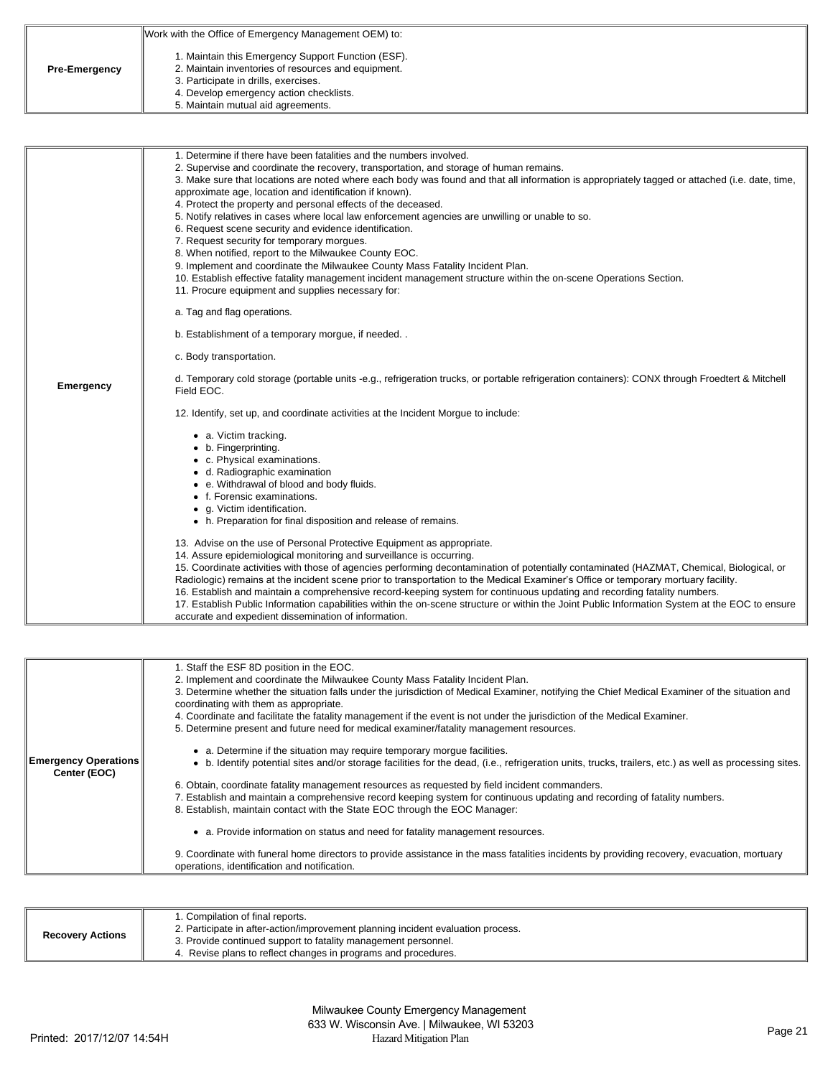|                      | Work with the Office of Emergency Management OEM) to:                                                                                                                                                                              |
|----------------------|------------------------------------------------------------------------------------------------------------------------------------------------------------------------------------------------------------------------------------|
| <b>Pre-Emergency</b> | 1. Maintain this Emergency Support Function (ESF).<br>2. Maintain inventories of resources and equipment.<br>3. Participate in drills, exercises.<br>4. Develop emergency action checklists.<br>5. Maintain mutual aid agreements. |

| Emergency | 1. Determine if there have been fatalities and the numbers involved.<br>2. Supervise and coordinate the recovery, transportation, and storage of human remains.<br>3. Make sure that locations are noted where each body was found and that all information is appropriately tagged or attached (i.e. date, time,<br>approximate age, location and identification if known).<br>4. Protect the property and personal effects of the deceased.<br>5. Notify relatives in cases where local law enforcement agencies are unwilling or unable to so.<br>6. Request scene security and evidence identification.<br>7. Request security for temporary morgues.<br>8. When notified, report to the Milwaukee County EOC.<br>9. Implement and coordinate the Milwaukee County Mass Fatality Incident Plan.<br>10. Establish effective fatality management incident management structure within the on-scene Operations Section.<br>11. Procure equipment and supplies necessary for:<br>a. Tag and flag operations.<br>b. Establishment of a temporary morgue, if needed<br>c. Body transportation.<br>d. Temporary cold storage (portable units -e.g., refrigeration trucks, or portable refrigeration containers): CONX through Froedtert & Mitchell<br>Field EOC. |
|-----------|---------------------------------------------------------------------------------------------------------------------------------------------------------------------------------------------------------------------------------------------------------------------------------------------------------------------------------------------------------------------------------------------------------------------------------------------------------------------------------------------------------------------------------------------------------------------------------------------------------------------------------------------------------------------------------------------------------------------------------------------------------------------------------------------------------------------------------------------------------------------------------------------------------------------------------------------------------------------------------------------------------------------------------------------------------------------------------------------------------------------------------------------------------------------------------------------------------------------------------------------------------------|
|           | 12. Identify, set up, and coordinate activities at the Incident Morgue to include:<br>• a. Victim tracking.<br>• b. Fingerprinting.<br>• c. Physical examinations.<br>• d. Radiographic examination<br>• e. Withdrawal of blood and body fluids.<br>• f. Forensic examinations.<br>• g. Victim identification.<br>• h. Preparation for final disposition and release of remains.<br>13. Advise on the use of Personal Protective Equipment as appropriate.<br>14. Assure epidemiological monitoring and surveillance is occurring.<br>15. Coordinate activities with those of agencies performing decontamination of potentially contaminated (HAZMAT, Chemical, Biological, or<br>Radiologic) remains at the incident scene prior to transportation to the Medical Examiner's Office or temporary mortuary facility.<br>16. Establish and maintain a comprehensive record-keeping system for continuous updating and recording fatality numbers.<br>17. Establish Public Information capabilities within the on-scene structure or within the Joint Public Information System at the EOC to ensure<br>accurate and expedient dissemination of information.                                                                                                   |

| <b>Emergency Operations</b><br>Center (EOC) | 1. Staff the ESF 8D position in the EOC.<br>2. Implement and coordinate the Milwaukee County Mass Fatality Incident Plan.<br>3. Determine whether the situation falls under the jurisdiction of Medical Examiner, notifying the Chief Medical Examiner of the situation and<br>coordinating with them as appropriate.<br>4. Coordinate and facilitate the fatality management if the event is not under the jurisdiction of the Medical Examiner.<br>5. Determine present and future need for medical examiner/fatality management resources. |
|---------------------------------------------|-----------------------------------------------------------------------------------------------------------------------------------------------------------------------------------------------------------------------------------------------------------------------------------------------------------------------------------------------------------------------------------------------------------------------------------------------------------------------------------------------------------------------------------------------|
|                                             | a. Determine if the situation may require temporary morgue facilities.<br>• b. Identify potential sites and/or storage facilities for the dead, (i.e., refrigeration units, trucks, trailers, etc.) as well as processing sites.                                                                                                                                                                                                                                                                                                              |
|                                             | 6. Obtain, coordinate fatality management resources as requested by field incident commanders.                                                                                                                                                                                                                                                                                                                                                                                                                                                |
|                                             | 7. Establish and maintain a comprehensive record keeping system for continuous updating and recording of fatality numbers.                                                                                                                                                                                                                                                                                                                                                                                                                    |
|                                             | 8. Establish, maintain contact with the State EOC through the EOC Manager:                                                                                                                                                                                                                                                                                                                                                                                                                                                                    |
|                                             | a. Provide information on status and need for fatality management resources.                                                                                                                                                                                                                                                                                                                                                                                                                                                                  |
|                                             | 9. Coordinate with funeral home directors to provide assistance in the mass fatalities incidents by providing recovery, evacuation, mortuary<br>operations, identification and notification.                                                                                                                                                                                                                                                                                                                                                  |

| <b>Recovery Actions</b> | 1. Compilation of final reports.<br>2. Participate in after-action/improvement planning incident evaluation process.<br>3. Provide continued support to fatality management personnel.<br>4. Revise plans to reflect changes in programs and procedures. |
|-------------------------|----------------------------------------------------------------------------------------------------------------------------------------------------------------------------------------------------------------------------------------------------------|
|-------------------------|----------------------------------------------------------------------------------------------------------------------------------------------------------------------------------------------------------------------------------------------------------|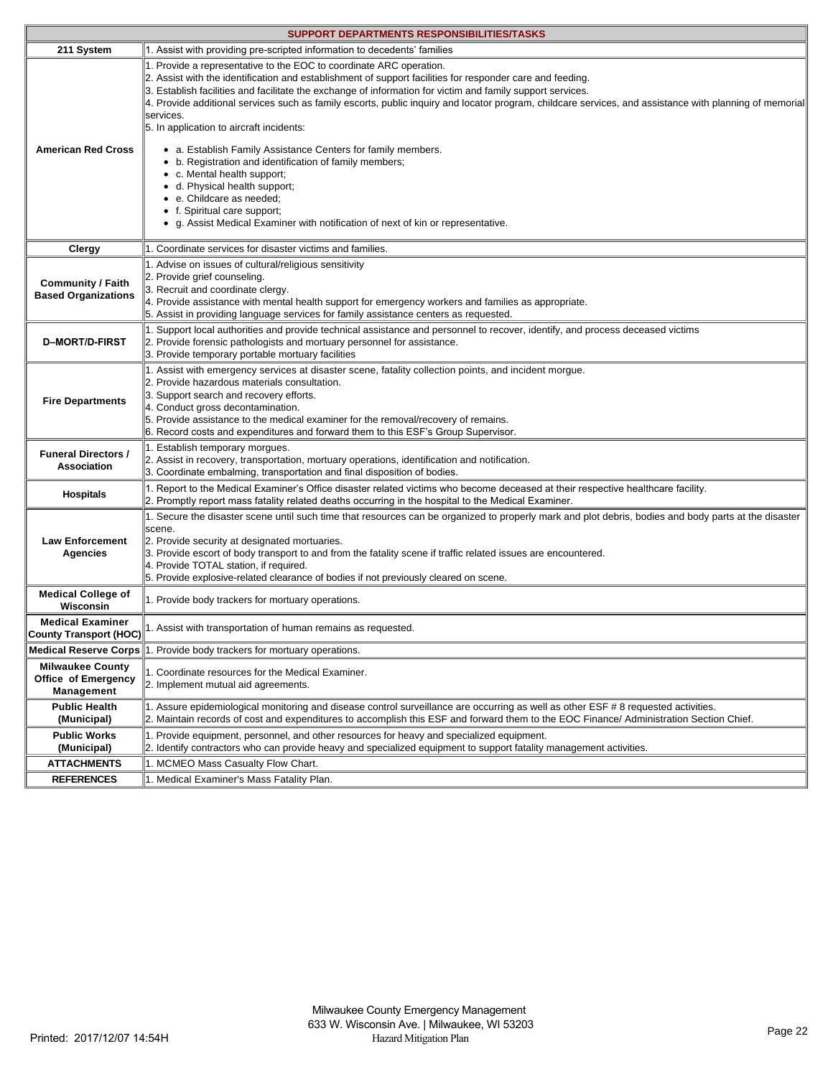| <b>SUPPORT DEPARTMENTS RESPONSIBILITIES/TASKS</b>            |                                                                                                                                                                                                                                                                                                                                                                                                                                                                                                                    |  |
|--------------------------------------------------------------|--------------------------------------------------------------------------------------------------------------------------------------------------------------------------------------------------------------------------------------------------------------------------------------------------------------------------------------------------------------------------------------------------------------------------------------------------------------------------------------------------------------------|--|
| 211 System                                                   | 1. Assist with providing pre-scripted information to decedents' families                                                                                                                                                                                                                                                                                                                                                                                                                                           |  |
| <b>American Red Cross</b>                                    | 1. Provide a representative to the EOC to coordinate ARC operation.<br>2. Assist with the identification and establishment of support facilities for responder care and feeding.<br>3. Establish facilities and facilitate the exchange of information for victim and family support services.<br>4. Provide additional services such as family escorts, public inquiry and locator program, childcare services, and assistance with planning of memorial<br>services.<br>5. In application to aircraft incidents: |  |
|                                                              | • a. Establish Family Assistance Centers for family members.<br>• b. Registration and identification of family members;<br>• c. Mental health support;<br>• d. Physical health support;<br>• e. Childcare as needed;<br>• f. Spiritual care support;<br>• g. Assist Medical Examiner with notification of next of kin or representative.                                                                                                                                                                           |  |
| Clergy                                                       | 1. Coordinate services for disaster victims and families.                                                                                                                                                                                                                                                                                                                                                                                                                                                          |  |
| <b>Community / Faith</b><br><b>Based Organizations</b>       | 1. Advise on issues of cultural/religious sensitivity<br>2. Provide grief counseling.<br>3. Recruit and coordinate clergy.<br>4. Provide assistance with mental health support for emergency workers and families as appropriate.<br>5. Assist in providing language services for family assistance centers as requested.                                                                                                                                                                                          |  |
| <b>D-MORT/D-FIRST</b>                                        | 1. Support local authorities and provide technical assistance and personnel to recover, identify, and process deceased victims<br>2. Provide forensic pathologists and mortuary personnel for assistance.<br>3. Provide temporary portable mortuary facilities                                                                                                                                                                                                                                                     |  |
| <b>Fire Departments</b>                                      | 1. Assist with emergency services at disaster scene, fatality collection points, and incident morgue.<br>2. Provide hazardous materials consultation.<br>3. Support search and recovery efforts.<br>4. Conduct gross decontamination.<br>5. Provide assistance to the medical examiner for the removal/recovery of remains.<br>6. Record costs and expenditures and forward them to this ESF's Group Supervisor.                                                                                                   |  |
| <b>Funeral Directors /</b><br>Association                    | 1. Establish temporary morgues.<br>2. Assist in recovery, transportation, mortuary operations, identification and notification.<br>3. Coordinate embalming, transportation and final disposition of bodies.                                                                                                                                                                                                                                                                                                        |  |
| <b>Hospitals</b>                                             | 1. Report to the Medical Examiner's Office disaster related victims who become deceased at their respective healthcare facility.<br>2. Promptly report mass fatality related deaths occurring in the hospital to the Medical Examiner.                                                                                                                                                                                                                                                                             |  |
| <b>Law Enforcement</b><br>Agencies                           | 1. Secure the disaster scene until such time that resources can be organized to properly mark and plot debris, bodies and body parts at the disaster<br>scene.<br>2. Provide security at designated mortuaries.<br>3. Provide escort of body transport to and from the fatality scene if traffic related issues are encountered.<br>4. Provide TOTAL station, if required.<br>5. Provide explosive-related clearance of bodies if not previously cleared on scene.                                                 |  |
| <b>Medical College of</b><br><b>Wisconsin</b>                | 1. Provide body trackers for mortuary operations.                                                                                                                                                                                                                                                                                                                                                                                                                                                                  |  |
| <b>Medical Examiner</b><br><b>County Transport (HOC)</b>     | 1. Assist with transportation of human remains as requested.                                                                                                                                                                                                                                                                                                                                                                                                                                                       |  |
| <b>Medical Reserve Corps</b>                                 | 1. Provide body trackers for mortuary operations.                                                                                                                                                                                                                                                                                                                                                                                                                                                                  |  |
| <b>Milwaukee County</b><br>Office of Emergency<br>Management | 1. Coordinate resources for the Medical Examiner.<br>2. Implement mutual aid agreements.                                                                                                                                                                                                                                                                                                                                                                                                                           |  |
| <b>Public Health</b><br>(Municipal)                          | 1. Assure epidemiological monitoring and disease control surveillance are occurring as well as other ESF # 8 requested activities.<br>2. Maintain records of cost and expenditures to accomplish this ESF and forward them to the EOC Finance/ Administration Section Chief.                                                                                                                                                                                                                                       |  |
| <b>Public Works</b><br>(Municipal)                           | 1. Provide equipment, personnel, and other resources for heavy and specialized equipment.<br>2. Identify contractors who can provide heavy and specialized equipment to support fatality management activities.                                                                                                                                                                                                                                                                                                    |  |
| <b>ATTACHMENTS</b>                                           | 1. MCMEO Mass Casualty Flow Chart.                                                                                                                                                                                                                                                                                                                                                                                                                                                                                 |  |
| <b>REFERENCES</b>                                            | 1. Medical Examiner's Mass Fatality Plan.                                                                                                                                                                                                                                                                                                                                                                                                                                                                          |  |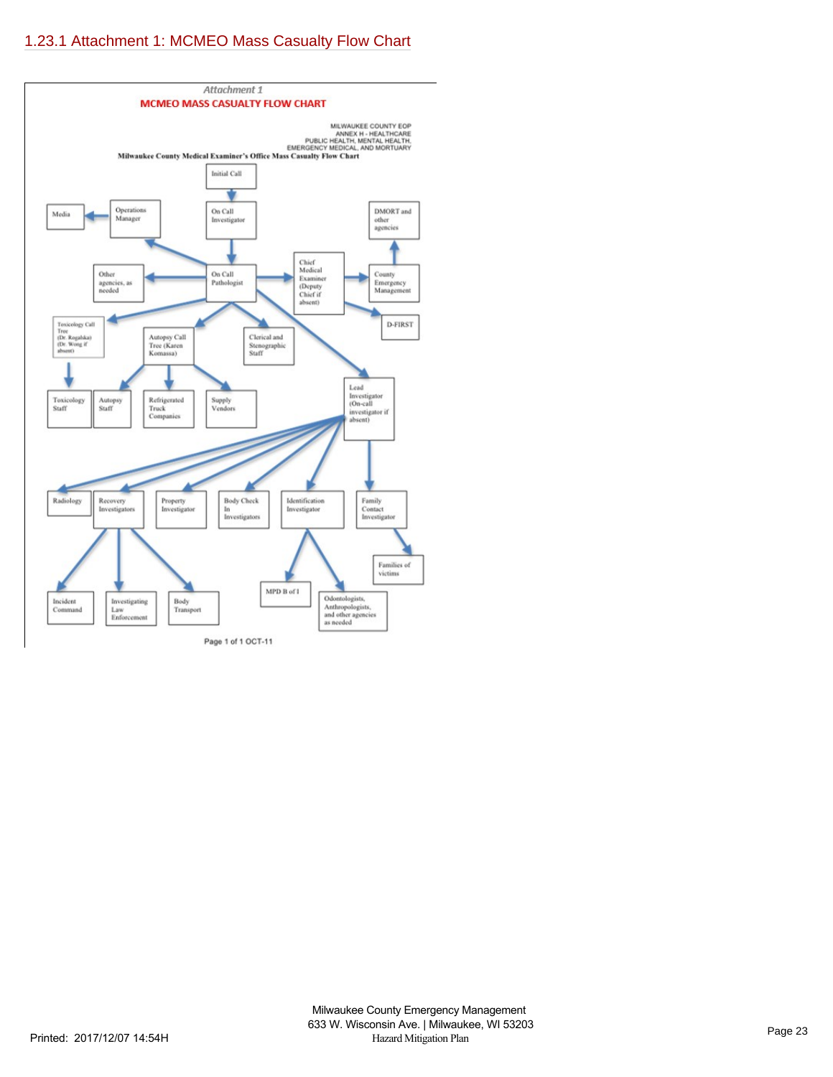# [1.23.1 Attachment 1: MCMEO Mass Casualty Flow Chart](https://milwaukeecounty.isc-cemp.com/Cemp/Details?id=5815092)